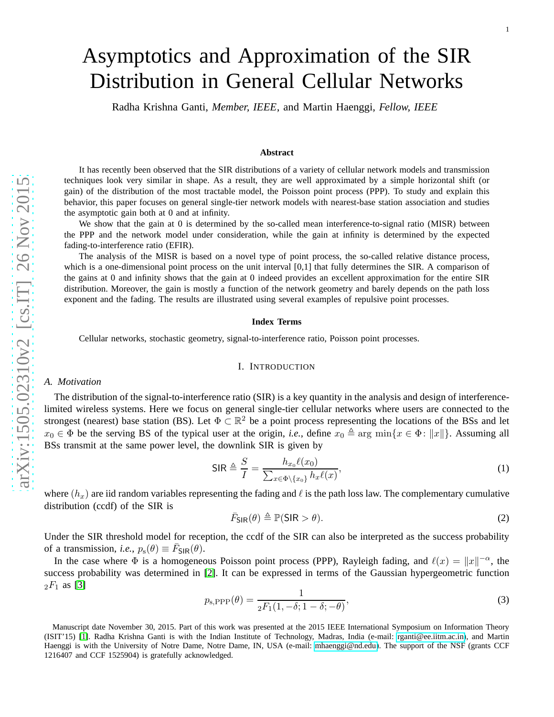# Asymptotics and Approximation of the SIR Distribution in General Cellular Networks

Radha Krishna Ganti, *Member, IEEE*, and Martin Haenggi, *Fellow, IEEE*

#### **Abstract**

It has recently been observed that the SIR distributions of a variety of cellular network models and transmission techniques look very similar in shape. As a result, they are well approximated by a simple horizontal shift (or gain) of the distribution of the most tractable model, the Poisson point process (PPP). To study and explain this behavior, this paper focuses on general single-tier network models with nearest-base station association and studies the asymptotic gain both at 0 and at infinity.

We show that the gain at 0 is determined by the so-called mean interference-to-signal ratio (MISR) between the PPP and the network model under consideration, while the gain at infinity is determined by the expected fading-to-interference ratio (EFIR).

The analysis of the MISR is based on a novel type of point process, the so-called relative distance process, which is a one-dimensional point process on the unit interval [0,1] that fully determines the SIR. A comparison of the gains at 0 and infinity shows that the gain at 0 indeed provides an excellent approximation for the entire SIR distribution. Moreover, the gain is mostly a function of the network geometry and barely depends on the path loss exponent and the fading. The results are illustrated using several examples of repulsive point processes.

#### **Index Terms**

Cellular networks, stochastic geometry, signal-to-interference ratio, Poisson point processes.

## I. INTRODUCTION

## *A. Motivation*

The distribution of the signal-to-interference ratio (SIR) is a key quantity in the analysis and design of interference limited wireless systems. Here we focus on general single-tier cellular networks where users are connected to the strongest (nearest) base station (BS). Let  $\Phi \subset \mathbb{R}^2$  be a point process representing the locations of the BSs and let  $x_0 \in \Phi$  be the serving BS of the typical user at the origin, *i.e.*, define  $x_0 \triangleq \arg \min \{ x \in \Phi : ||x|| \}$ . Assuming all BSs transmit at the same power level, the downlink SIR is given by

<span id="page-0-0"></span>
$$
\mathsf{SIR} \triangleq \frac{S}{I} = \frac{h_{x_0}\ell(x_0)}{\sum_{x \in \Phi \setminus \{x_0\}} h_x \ell(x)},\tag{1}
$$

where  $(h_x)$  are iid random variables representing the fading and  $\ell$  is the path loss law. The complementary cumulative distribution (ccdf) of the SIR is

$$
\bar{F}_{\text{SIR}}(\theta) \triangleq \mathbb{P}(\text{SIR} > \theta). \tag{2}
$$

Under the SIR threshold model for reception, the ccdf of the SIR can also be interpreted as the success probability of a transmission, *i.e.*,  $p_s(\theta) \equiv \bar{F}_{\text{SIR}}(\theta)$ .

In the case where  $\Phi$  is a homogeneous Poisson point process (PPP), Rayleigh fading, and  $\ell(x) = ||x||^{-\alpha}$ , the success probability was determined in [\[2\]](#page-21-0). It can be expressed in terms of the Gaussian hypergeometric function  ${}_2F_1$  as [\[3\]](#page-21-1)

<span id="page-0-1"></span>
$$
p_{\rm s, PPP}(\theta) = \frac{1}{2F_1(1, -\delta; 1 - \delta; -\theta)},\tag{3}
$$

Manuscript date November 30, 2015. Part of this work was presented at the 2015 IEEE International Symposium on Information Theory (ISIT'15) [\[1\]](#page-21-2). Radha Krishna Ganti is with the Indian Institute of Technology, Madras, India (e-mail: [rganti@ee.iitm.ac.in\)](rganti@ee.iitm.ac.in), and Martin Haenggi is with the University of Notre Dame, Notre Dame, IN, USA (e-mail: [mhaenggi@nd.edu\)](mhaenggi@nd.edu). The support of the NSF (grants CCF 1216407 and CCF 1525904) is gratefully acknowledged.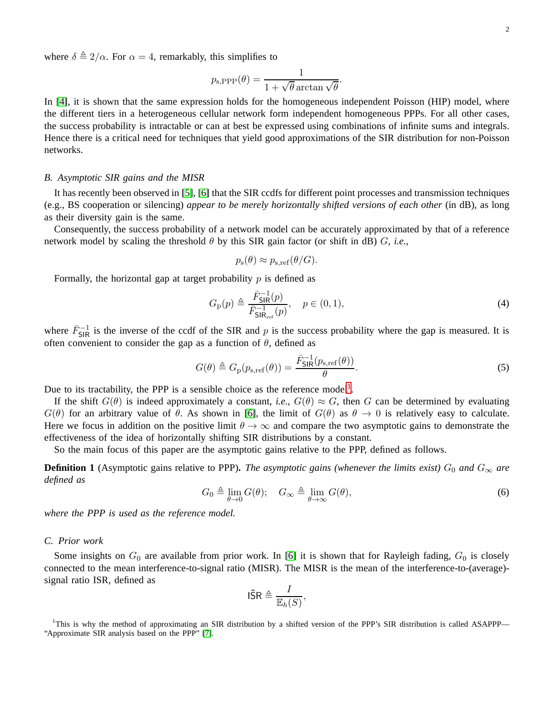where  $\delta \triangleq 2/\alpha$ . For  $\alpha = 4$ , remarkably, this simplifies to

$$
p_{\rm s, PPP}(\theta) = \frac{1}{1 + \sqrt{\theta} \arctan \sqrt{\theta}}.
$$

In [\[4\]](#page-21-3), it is shown that the same expression holds for the homogeneous independent Poisson (HIP) model, where the different tiers in a heterogeneous cellular network form independent homogeneous PPPs. For all other cases, the success probability is intractable or can at best be expressed using combinations of infinite sums and integrals. Hence there is a critical need for techniques that yield good approximations of the SIR distribution for non-Poisson networks.

## *B. Asymptotic SIR gains and the MISR*

It has recently been observed in [\[5\]](#page-21-4), [\[6\]](#page-21-5) that the SIR ccdfs for different point processes and transmission techniques (e.g., BS cooperation or silencing) *appear to be merely horizontally shifted versions of each other* (in dB), as long as their diversity gain is the same.

Consequently, the success probability of a network model can be accurately approximated by that of a reference network model by scaling the threshold  $\theta$  by this SIR gain factor (or shift in dB)  $G$ , *i.e.*,

$$
p_{\rm s}(\theta) \approx p_{\rm s,ref}(\theta/G).
$$

Formally, the horizontal gap at target probability  $p$  is defined as

$$
G_{\mathbf{p}}(p) \triangleq \frac{\bar{F}_{\mathsf{SIR}}^{-1}(p)}{\bar{F}_{\mathsf{SIR}_{\mathrm{ref}}}(p)}, \quad p \in (0, 1), \tag{4}
$$

where  $\bar{F}_{\text{SIR}}^{-1}$  is the inverse of the ccdf of the SIR and p is the success probability where the gap is measured. It is often convenient to consider the gap as a function of  $\theta$ , defined as

$$
G(\theta) \triangleq G_{\rm p}(p_{\rm s,ref}(\theta)) = \frac{\bar{F}_{\rm SIR}^{-1}(p_{\rm s,ref}(\theta))}{\theta}.
$$
\n(5)

Due to its tractability, the PPP is a sensible choice as the reference model<sup>[1](#page-1-0)</sup>.

If the shift  $G(\theta)$  is indeed approximately a constant, *i.e.*,  $G(\theta) \approx G$ , then G can be determined by evaluating  $G(\theta)$  for an arbitrary value of  $\theta$ . As shown in [\[6\]](#page-21-5), the limit of  $G(\theta)$  as  $\theta \to 0$  is relatively easy to calculate. Here we focus in addition on the positive limit  $\theta \to \infty$  and compare the two asymptotic gains to demonstrate the effectiveness of the idea of horizontally shifting SIR distributions by a constant.

So the main focus of this paper are the asymptotic gains relative to the PPP, defined as follows.

**Definition 1** (Asymptotic gains relative to PPP). The asymptotic gains (whenever the limits exist)  $G_0$  and  $G_\infty$  are *defined as*

$$
G_0 \triangleq \lim_{\theta \to 0} G(\theta); \quad G_{\infty} \triangleq \lim_{\theta \to \infty} G(\theta), \tag{6}
$$

*where the PPP is used as the reference model.*

## *C. Prior work*

Some insights on  $G_0$  are available from prior work. In [\[6\]](#page-21-5) it is shown that for Rayleigh fading,  $G_0$  is closely connected to the mean interference-to-signal ratio (MISR). The MISR is the mean of the interference-to-(average) signal ratio ISR, defined as

$$
\bar{\mathsf{lsR}} \triangleq \frac{I}{\mathbb{E}_h(S)},
$$

<span id="page-1-0"></span><sup>1</sup>This is why the method of approximating an SIR distribution by a shifted version of the PPP's SIR distribution is called ASAPPP— "Approximate SIR analysis based on the PPP" [\[7\]](#page-21-6).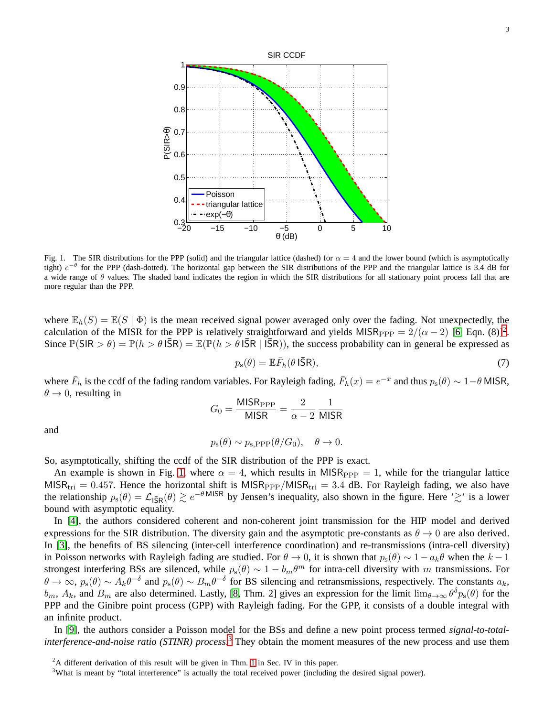

<span id="page-2-1"></span>Fig. 1. The SIR distributions for the PPP (solid) and the triangular lattice (dashed) for  $\alpha = 4$  and the lower bound (which is asymptotically tight)  $e^{-\theta}$  for the PPP (dash-dotted). The horizontal gap between the SIR distributions of the PPP and the triangular lattice is 3.4 dB for a wide range of  $\theta$  values. The shaded band indicates the region in which the SIR distributions for all stationary point process fall that are more regular than the PPP.

where  $\mathbb{E}_h(S) = \mathbb{E}(S | \Phi)$  is the mean received signal power averaged only over the fading. Not unexpectedly, the calculation of the MISR for the PPP is relatively straightforward and yields MISR<sub>PPP</sub> =  $2/(\alpha - 2)$  $2/(\alpha - 2)$  [\[6,](#page-21-5) Eqn. (8)]<sup>2</sup>. Since  $\mathbb{P}(\text{SIR} > \theta) = \mathbb{P}(h > \theta \text{ I}\bar{\text{S}}\text{R}) = \mathbb{E}(\mathbb{P}(h > \theta \text{ I}\bar{\text{S}}\text{R} | \text{ I}\bar{\text{S}}\text{R})),$  the success probability can in general be expressed as

$$
p_{\rm s}(\theta) = \mathbb{E}\bar{F}_h(\theta \,\mathsf{I}\bar{\mathsf{S}}\mathsf{R}),\tag{7}
$$

where  $\bar{F}_h$  is the ccdf of the fading random variables. For Rayleigh fading,  $\bar{F}_h(x) = e^{-x}$  and thus  $p_s(\theta) \sim 1 - \theta$  MISR,  $\theta \rightarrow 0$ , resulting in

$$
G_0 = \frac{\text{MISR}_{\text{PPP}}}{\text{MISR}} = \frac{2}{\alpha - 2} \frac{1}{\text{MISR}}
$$

and

$$
p_s(\theta) \sim p_{s,\text{PPP}}(\theta/G_0), \quad \theta \to 0.
$$

So, asymptotically, shifting the ccdf of the SIR distribution of the PPP is exact.

An example is shown in Fig. [1,](#page-2-1) where  $\alpha = 4$ , which results in MISR<sub>PPP</sub> = 1, while for the triangular lattice  $MISR_{tri} = 0.457$ . Hence the horizontal shift is  $MISR_{PPP}/MISR_{tri} = 3.4$  dB. For Rayleigh fading, we also have the relationship  $p_s(\theta) = \mathcal{L}_{15R}(\theta) \gtrsim e^{-\theta MISR}$  by Jensen's inequality, also shown in the figure. Here ' $\gtrsim$ ' is a lower bound with asymptotic equality.

In [\[4\]](#page-21-3), the authors considered coherent and non-coherent joint transmission for the HIP model and derived expressions for the SIR distribution. The diversity gain and the asymptotic pre-constants as  $\theta \to 0$  are also derived. In [\[3\]](#page-21-1), the benefits of BS silencing (inter-cell interference coordination) and re-transmissions (intra-cell diversity) in Poisson networks with Rayleigh fading are studied. For  $\theta \to 0$ , it is shown that  $p_s(\theta) \sim 1 - a_k \theta$  when the  $k-1$ strongest interfering BSs are silenced, while  $p_s(\theta) \sim 1 - b_m \theta^m$  for intra-cell diversity with m transmissions. For  $\theta \to \infty$ ,  $p_s(\theta) \sim A_k \theta^{-\delta}$  and  $p_s(\theta) \sim B_m \theta^{-\delta}$  for BS silencing and retransmissions, respectively. The constants  $a_k$ ,  $b_m$ ,  $A_k$ , and  $B_m$  are also determined. Lastly, [\[8,](#page-21-7) Thm. 2] gives an expression for the limit  $\lim_{\theta\to\infty}\theta^{\delta}p_s(\theta)$  for the PPP and the Ginibre point process (GPP) with Rayleigh fading. For the GPP, it consists of a double integral with an infinite product.

In [\[9\]](#page-21-8), the authors consider a Poisson model for the BSs and define a new point process termed *signal-to-totalinterference-and-noise ratio (STINR) process*. [3](#page-2-2) They obtain the moment measures of the new process and use them

 $2A$  different derivation of this result will be given in Thm. [1](#page-9-0) in Sec. IV in this paper.

<span id="page-2-2"></span><span id="page-2-0"></span><sup>&</sup>lt;sup>3</sup>What is meant by "total interference" is actually the total received power (including the desired signal power).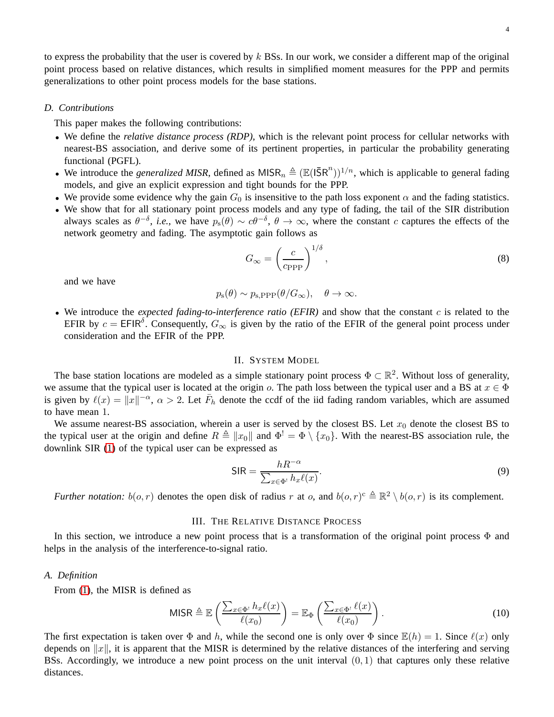to express the probability that the user is covered by  $k$  BSs. In our work, we consider a different map of the original point process based on relative distances, which results in simplified moment measures for the PPP and permits generalizations to other point process models for the base stations.

## *D. Contributions*

This paper makes the following contributions:

- We define the *relative distance process (RDP)*, which is the relevant point process for cellular networks with nearest-BS association, and derive some of its pertinent properties, in particular the probability generating functional (PGFL).
- We introduce the *generalized MISR*, defined as  $MISR_n \triangleq (\mathbb{E}(I\bar{S}R^n))^{1/n}$ , which is applicable to general fading models, and give an explicit expression and tight bounds for the PPP.
- We provide some evidence why the gain  $G_0$  is insensitive to the path loss exponent  $\alpha$  and the fading statistics.
- We show that for all stationary point process models and any type of fading, the tail of the SIR distribution always scales as  $\theta^{-\delta}$ , *i.e.*, we have  $p_s(\theta) \sim c\theta^{-\delta}$ ,  $\theta \to \infty$ , where the constant c captures the effects of the network geometry and fading. The asymptotic gain follows as

<span id="page-3-0"></span>
$$
G_{\infty} = \left(\frac{c}{c_{\rm PPP}}\right)^{1/\delta},\tag{8}
$$

and we have

$$
p_s(\theta) \sim p_{s,\text{PPP}}(\theta/G_{\infty}), \quad \theta \to \infty.
$$

• We introduce the *expected fading-to-interference ratio (EFIR)* and show that the constant c is related to the EFIR by  $c = EFIN^{\delta}$ . Consequently,  $G_{\infty}$  is given by the ratio of the EFIR of the general point process under consideration and the EFIR of the PPP.

# II. SYSTEM MODEL

The base station locations are modeled as a simple stationary point process  $\Phi \subset \mathbb{R}^2$ . Without loss of generality, we assume that the typical user is located at the origin o. The path loss between the typical user and a BS at  $x \in \Phi$ is given by  $\ell(x) = ||x||^{-\alpha}$ ,  $\alpha > 2$ . Let  $\bar{F}_h$  denote the ccdf of the iid fading random variables, which are assumed to have mean 1.

We assume nearest-BS association, wherein a user is served by the closest BS. Let  $x_0$  denote the closest BS to the typical user at the origin and define  $R \triangleq ||x_0||$  and  $\Phi' = \Phi \setminus \{x_0\}$ . With the nearest-BS association rule, the downlink SIR [\(1\)](#page-0-0) of the typical user can be expressed as

<span id="page-3-1"></span>
$$
\text{SIR} = \frac{hR^{-\alpha}}{\sum_{x \in \Phi^{\text{!}}} h_x \ell(x)}.
$$
\n(9)

*Further notation:*  $b(o, r)$  denotes the open disk of radius r at o, and  $b(o, r)^c \triangleq \mathbb{R}^2 \setminus b(o, r)$  is its complement.

#### III. THE RELATIVE DISTANCE PROCESS

In this section, we introduce a new point process that is a transformation of the original point process  $\Phi$  and helps in the analysis of the interference-to-signal ratio.

#### *A. Definition*

From [\(1\)](#page-0-0), the MISR is defined as

$$
\text{MISR} \triangleq \mathbb{E}\left(\frac{\sum_{x \in \Phi^!} h_x \ell(x)}{\ell(x_0)}\right) = \mathbb{E}_{\Phi}\left(\frac{\sum_{x \in \Phi^!} \ell(x)}{\ell(x_0)}\right). \tag{10}
$$

The first expectation is taken over  $\Phi$  and h, while the second one is only over  $\Phi$  since  $\mathbb{E}(h) = 1$ . Since  $\ell(x)$  only depends on  $||x||$ , it is apparent that the MISR is determined by the relative distances of the interfering and serving BSs. Accordingly, we introduce a new point process on the unit interval  $(0, 1)$  that captures only these relative distances.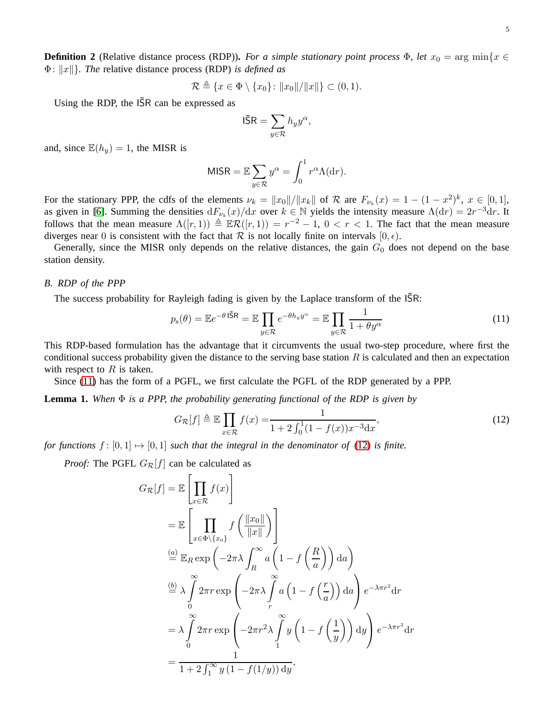<span id="page-4-3"></span>**Definition 2** (Relative distance process (RDP)). *For a simple stationary point process*  $\Phi$ *, let*  $x_0 = \arg \min \{x \in$ Φ: kxk}*. The* relative distance process (RDP) *is defined as*

$$
\mathcal{R} \triangleq \{x \in \Phi \setminus \{x_0\} \colon ||x_0|| / ||x||\} \subset (0,1).
$$

Using the RDP, the  $\overline{SR}$  can be expressed as

$$
\mathsf{I\bar{S}R}=\sum_{y\in\mathcal{R}}h_yy^\alpha,
$$

and, since  $\mathbb{E}(h_y) = 1$ , the MISR is

$$
MISR = \mathbb{E} \sum_{y \in \mathcal{R}} y^{\alpha} = \int_0^1 r^{\alpha} \Lambda(dr).
$$

For the stationary PPP, the cdfs of the elements  $\nu_k = ||x_0||/||x_k||$  of R are  $F_{\nu_k}(x) = 1 - (1 - x^2)^k$ ,  $x \in [0, 1]$ , as given in [\[6\]](#page-21-5). Summing the densities  $dF_{\nu_k}(x)/dx$  over  $k \in \mathbb{N}$  yields the intensity measure  $\Lambda(dr) = 2r^{-3}dr$ . It follows that the mean measure  $\Lambda([r,1)) \triangleq \mathbb{E} \mathcal{R}([r,1)) = r^{-2} - 1$ ,  $0 < r < 1$ . The fact that the mean measure diverges near 0 is consistent with the fact that  $\mathcal R$  is not locally finite on intervals  $[0, \epsilon)$ .

Generally, since the MISR only depends on the relative distances, the gain  $G_0$  does not depend on the base station density.

## *B. RDP of the PPP*

The success probability for Rayleigh fading is given by the Laplace transform of the ISR:

<span id="page-4-0"></span>
$$
p_{s}(\theta) = \mathbb{E}e^{-\theta \, \|\bar{\mathbf{S}}\|} = \mathbb{E}\prod_{y \in \mathcal{R}} e^{-\theta h_{y} y^{\alpha}} = \mathbb{E}\prod_{y \in \mathcal{R}} \frac{1}{1 + \theta y^{\alpha}}
$$
(11)

This RDP-based formulation has the advantage that it circumvents the usual two-step procedure, where first the conditional success probability given the distance to the serving base station  $R$  is calculated and then an expectation with respect to  $R$  is taken.

Since [\(11\)](#page-4-0) has the form of a PGFL, we first calculate the PGFL of the RDP generated by a PPP.

<span id="page-4-2"></span>**Lemma 1.** *When* Φ *is a PPP, the probability generating functional of the RDP is given by*

<span id="page-4-1"></span>
$$
G_{\mathcal{R}}[f] \triangleq \mathbb{E} \prod_{x \in \mathcal{R}} f(x) = \frac{1}{1 + 2 \int_0^1 (1 - f(x)) x^{-3} dx},\tag{12}
$$

*for functions*  $f : [0, 1] \rightarrow [0, 1]$  *such that the integral in the denominator of* [\(12\)](#page-4-1) *is finite.* 

*Proof:* The PGFL  $G_{\mathcal{R}}[f]$  can be calculated as

$$
G_{\mathcal{R}}[f] = \mathbb{E}\left[\prod_{x \in \mathcal{R}} f(x)\right]
$$
  
\n
$$
= \mathbb{E}\left[\prod_{x \in \Phi \setminus \{x_0\}} f\left(\frac{\|x_0\|}{\|x\|}\right)\right]
$$
  
\n
$$
\stackrel{(a)}{=} \mathbb{E}_R \exp\left(-2\pi\lambda \int_R^{\infty} a\left(1 - f\left(\frac{R}{a}\right)\right) da\right)
$$
  
\n
$$
\stackrel{(b)}{=} \lambda \int_0^{\infty} 2\pi r \exp\left(-2\pi\lambda \int_r^{\infty} a\left(1 - f\left(\frac{r}{a}\right)\right) da\right) e^{-\lambda \pi r^2} dr
$$
  
\n
$$
= \lambda \int_0^{\infty} 2\pi r \exp\left(-2\pi r^2\lambda \int_1^{\infty} y\left(1 - f\left(\frac{1}{y}\right)\right) dy\right) e^{-\lambda \pi r^2} dr
$$
  
\n
$$
= \frac{1}{1 + 2 \int_1^{\infty} y\left(1 - f(1/y)\right) dy},
$$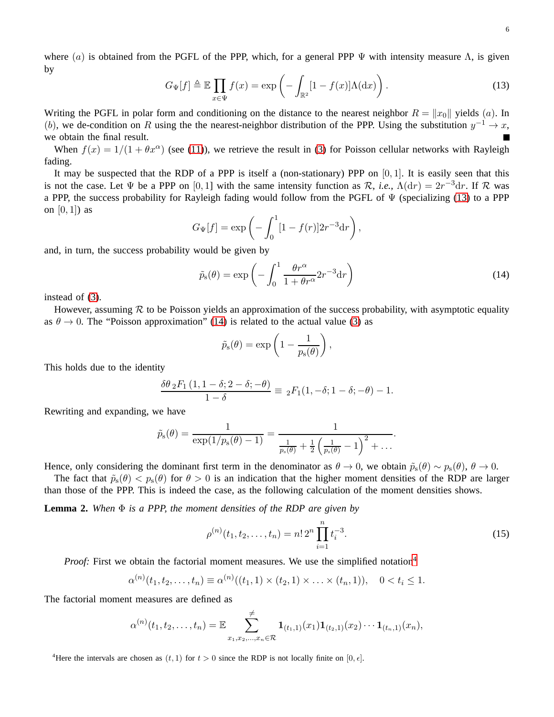where (a) is obtained from the PGFL of the PPP, which, for a general PPP  $\Psi$  with intensity measure  $\Lambda$ , is given by

<span id="page-5-0"></span>
$$
G_{\Psi}[f] \triangleq \mathbb{E} \prod_{x \in \Psi} f(x) = \exp \left( - \int_{\mathbb{R}^2} [1 - f(x)] \Lambda(\mathrm{d}x) \right). \tag{13}
$$

Writing the PGFL in polar form and conditioning on the distance to the nearest neighbor  $R = ||x_0||$  yields (a). In (b), we de-condition on R using the the nearest-neighbor distribution of the PPP. Using the substitution  $y^{-1} \to x$ , we obtain the final result.

When  $f(x) = 1/(1 + \theta x^{\alpha})$  (see [\(11\)](#page-4-0)), we retrieve the result in [\(3\)](#page-0-1) for Poisson cellular networks with Rayleigh fading.

It may be suspected that the RDP of a PPP is itself a (non-stationary) PPP on  $[0, 1]$ . It is easily seen that this is not the case. Let  $\Psi$  be a PPP on [0, 1] with the same intensity function as  $\mathcal{R}$ , *i.e.*,  $\Lambda(\mathrm{d}r) = 2r^{-3}\mathrm{d}r$ . If  $\mathcal{R}$  was a PPP, the success probability for Rayleigh fading would follow from the PGFL of  $\Psi$  (specializing [\(13\)](#page-5-0) to a PPP on  $[0, 1]$  as

$$
G_{\Psi}[f] = \exp\left(-\int_0^1 [1 - f(r)] 2r^{-3} dr\right),
$$

and, in turn, the success probability would be given by

<span id="page-5-1"></span>
$$
\tilde{p}_s(\theta) = \exp\left(-\int_0^1 \frac{\theta r^\alpha}{1 + \theta r^\alpha} 2r^{-3} dr\right)
$$
\n(14)

instead of [\(3\)](#page-0-1).

However, assuming  $R$  to be Poisson yields an approximation of the success probability, with asymptotic equality as  $\theta \rightarrow 0$ . The "Poisson approximation" [\(14\)](#page-5-1) is related to the actual value [\(3\)](#page-0-1) as

$$
\tilde{p}_{s}(\theta) = \exp\left(1 - \frac{1}{p_{s}(\theta)}\right),\,
$$

This holds due to the identity

$$
\frac{\delta\theta \, {}_2F_1\left(1,1-\delta;2-\delta;-\theta\right)}{1-\delta} \equiv \, {}_2F_1(1,-\delta;1-\delta;-\theta) - 1.
$$

Rewriting and expanding, we have

$$
\tilde{p}_{\mathrm{s}}(\theta) = \frac{1}{\exp(1/p_{\mathrm{s}}(\theta)-1)} = \frac{1}{\frac{1}{p_{\mathrm{s}}(\theta)} + \frac{1}{2}\left(\frac{1}{p_{\mathrm{s}}(\theta)}-1\right)^2 + \dots}
$$

Hence, only considering the dominant first term in the denominator as  $\theta \to 0$ , we obtain  $\tilde{p}_s(\theta) \sim p_s(\theta)$ ,  $\theta \to 0$ .

The fact that  $\tilde{p}_s(\theta) < p_s(\theta)$  for  $\theta > 0$  is an indication that the higher moment densities of the RDP are larger than those of the PPP. This is indeed the case, as the following calculation of the moment densities shows.

<span id="page-5-3"></span>**Lemma 2.** *When* Φ *is a PPP, the moment densities of the RDP are given by*

$$
\rho^{(n)}(t_1, t_2, \dots, t_n) = n! \, 2^n \prod_{i=1}^n t_i^{-3}.\tag{15}
$$

*Proof:* First we obtain the factorial moment measures. We use the simplified notation<sup>[4](#page-5-2)</sup>

$$
\alpha^{(n)}(t_1, t_2, \dots, t_n) \equiv \alpha^{(n)}((t_1, 1) \times (t_2, 1) \times \dots \times (t_n, 1)), \quad 0 < t_i \leq 1.
$$

The factorial moment measures are defined as

$$
\alpha^{(n)}(t_1, t_2, \ldots, t_n) = \mathbb{E} \sum_{x_1, x_2, \ldots, x_n \in \mathcal{R}}^{\neq} \mathbf{1}_{(t_1, 1)}(x_1) \mathbf{1}_{(t_2, 1)}(x_2) \cdots \mathbf{1}_{(t_n, 1)}(x_n),
$$

<span id="page-5-2"></span><sup>4</sup>Here the intervals are chosen as  $(t, 1)$  for  $t > 0$  since the RDP is not locally finite on [0,  $\epsilon$ ].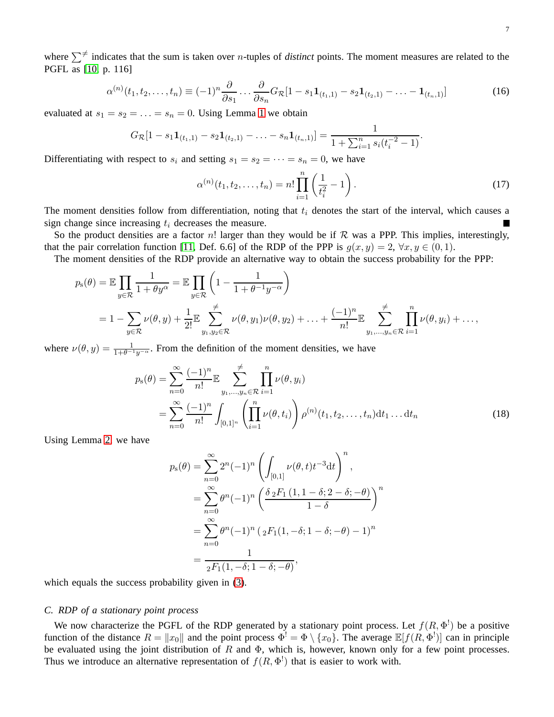where  $\sum^{\neq}$  indicates that the sum is taken over *n*-tuples of *distinct* points. The moment measures are related to the PGFL as [\[10,](#page-22-0) p. 116]

<span id="page-6-0"></span>
$$
\alpha^{(n)}(t_1, t_2, \dots, t_n) \equiv (-1)^n \frac{\partial}{\partial s_1} \dots \frac{\partial}{\partial s_n} G_{\mathcal{R}} [1 - s_1 \mathbf{1}_{(t_1, 1)} - s_2 \mathbf{1}_{(t_2, 1)} - \dots - \mathbf{1}_{(t_n, 1)}] \tag{16}
$$

evaluated at  $s_1 = s_2 = \ldots = s_n = 0$ . Using Lemma [1](#page-4-2) we obtain

$$
G_{\mathcal{R}}[1-s_1\mathbf{1}_{(t_1,1)}-s_2\mathbf{1}_{(t_2,1)}-\ldots-s_n\mathbf{1}_{(t_n,1)}]=\frac{1}{1+\sum_{i=1}^n s_i(t_i^{-2}-1)}.
$$

Differentiating with respect to  $s_i$  and setting  $s_1 = s_2 = \cdots = s_n = 0$ , we have

$$
\alpha^{(n)}(t_1, t_2, \dots, t_n) = n! \prod_{i=1}^n \left(\frac{1}{t_i^2} - 1\right).
$$
 (17)

The moment densities follow from differentiation, noting that  $t_i$  denotes the start of the interval, which causes a sign change since increasing  $t_i$  decreases the measure.

So the product densities are a factor n! larger than they would be if  $R$  was a PPP. This implies, interestingly, that the pair correlation function [\[11,](#page-22-1) Def. 6.6] of the RDP of the PPP is  $g(x, y) = 2$ ,  $\forall x, y \in (0, 1)$ .

The moment densities of the RDP provide an alternative way to obtain the success probability for the PPP:

$$
p_{s}(\theta) = \mathbb{E} \prod_{y \in \mathcal{R}} \frac{1}{1 + \theta y^{\alpha}} = \mathbb{E} \prod_{y \in \mathcal{R}} \left( 1 - \frac{1}{1 + \theta^{-1} y^{-\alpha}} \right)
$$
  
=  $1 - \sum_{y \in \mathcal{R}} \nu(\theta, y) + \frac{1}{2!} \mathbb{E} \sum_{y_1, y_2 \in \mathcal{R}}^{\neq} \nu(\theta, y_1) \nu(\theta, y_2) + \ldots + \frac{(-1)^n}{n!} \mathbb{E} \sum_{y_1, \ldots, y_n \in \mathcal{R}}^{\neq} \prod_{i=1}^n \nu(\theta, y_i) + \ldots,$ 

where  $\nu(\theta, y) = \frac{1}{1+\theta^{-1}y^{-\alpha}}$ . From the definition of the moment densities, we have

$$
p_{s}(\theta) = \sum_{n=0}^{\infty} \frac{(-1)^{n}}{n!} \mathbb{E} \sum_{y_{1},\dots,y_{n} \in \mathcal{R}} \prod_{i=1}^{n} \nu(\theta, y_{i})
$$
  
= 
$$
\sum_{n=0}^{\infty} \frac{(-1)^{n}}{n!} \int_{[0,1]^{n}} \left( \prod_{i=1}^{n} \nu(\theta, t_{i}) \right) \rho^{(n)}(t_{1}, t_{2},\dots, t_{n}) dt_{1} \dots dt_{n}
$$
 (18)

Using Lemma [2,](#page-5-3) we have

<span id="page-6-1"></span>
$$
p_{s}(\theta) = \sum_{n=0}^{\infty} 2^{n} (-1)^{n} \left( \int_{[0,1]} \nu(\theta, t) t^{-3} dt \right)^{n},
$$
  
= 
$$
\sum_{n=0}^{\infty} \theta^{n} (-1)^{n} \left( \frac{\delta_{2} F_{1} (1, 1 - \delta; 2 - \delta; -\theta)}{1 - \delta} \right)^{n}
$$
  
= 
$$
\sum_{n=0}^{\infty} \theta^{n} (-1)^{n} (2F_{1} (1, -\delta; 1 - \delta; -\theta) - 1)^{n}
$$
  
= 
$$
\frac{1}{2F_{1} (1, -\delta; 1 - \delta; -\theta)},
$$

which equals the success probability given in  $(3)$ .

## *C. RDP of a stationary point process*

We now characterize the PGFL of the RDP generated by a stationary point process. Let  $f(R, \Phi^!)$  be a positive function of the distance  $R = ||x_0||$  and the point process  $\Phi^! = \Phi \setminus \{x_0\}$ . The average  $\mathbb{E}[f(R, \Phi^!)]$  can in principle be evaluated using the joint distribution of R and  $\Phi$ , which is, however, known only for a few point processes. Thus we introduce an alternative representation of  $f(R, \Phi^!)$  that is easier to work with.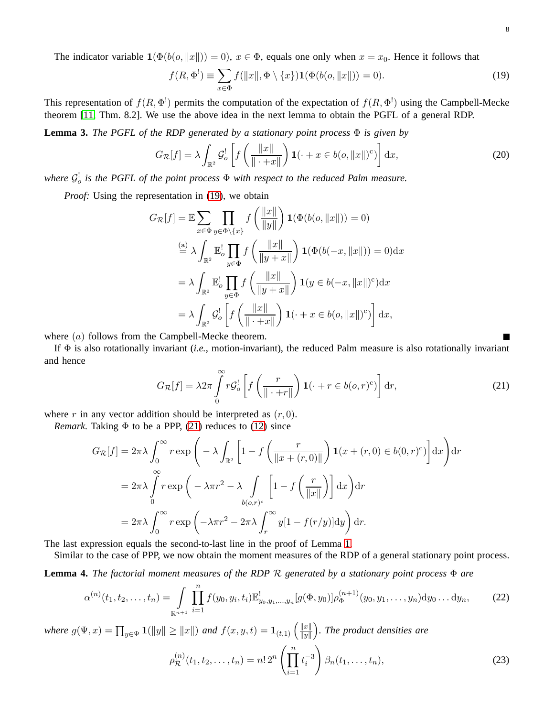The indicator variable  $\mathbf{1}(\Phi(b(o, ||x||)) = 0)$ ,  $x \in \Phi$ , equals one only when  $x = x_0$ . Hence it follows that

$$
f(R, \Phi^!) \equiv \sum_{x \in \Phi} f(||x||, \Phi \setminus \{x\}) \mathbf{1}(\Phi(b(o, ||x||)) = 0). \tag{19}
$$

This representation of  $f(R, \Phi^!)$  permits the computation of the expectation of  $f(R, \Phi^!)$  using the Campbell-Mecke theorem [\[11,](#page-22-1) Thm. 8.2]. We use the above idea in the next lemma to obtain the PGFL of a general RDP.

**Lemma 3.** *The PGFL of the RDP generated by a stationary point process*  $\Phi$  *is given by* 

$$
G_{\mathcal{R}}[f] = \lambda \int_{\mathbb{R}^2} \mathcal{G}_o^! \left[ f\left(\frac{\|x\|}{\| \cdot + x\|}\right) \mathbf{1}(\cdot + x \in b(o, \|x\|)^c) \right] dx, \tag{20}
$$

where  $\mathcal{G}_o^!$  is the PGFL of the point process  $\Phi$  with respect to the reduced Palm measure.

*Proof:* Using the representation in [\(19\)](#page-7-0), we obtain

$$
G_{\mathcal{R}}[f] = \mathbb{E} \sum_{x \in \Phi} \prod_{y \in \Phi \setminus \{x\}} f\left(\frac{\|x\|}{\|y\|}\right) \mathbf{1}(\Phi(b(o, \|x\|)) = 0)
$$
  
\n
$$
\stackrel{\text{(a)}}{=} \lambda \int_{\mathbb{R}^2} \mathbb{E}_o^! \prod_{y \in \Phi} f\left(\frac{\|x\|}{\|y+x\|}\right) \mathbf{1}(\Phi(b(-x, \|x\|)) = 0) dx
$$
  
\n
$$
= \lambda \int_{\mathbb{R}^2} \mathbb{E}_o^! \prod_{y \in \Phi} f\left(\frac{\|x\|}{\|y+x\|}\right) \mathbf{1}(\theta \in (0-x, \|x\|)^c) dx
$$
  
\n
$$
= \lambda \int_{\mathbb{R}^2} \mathcal{G}_o^! \left[ f\left(\frac{\|x\|}{\|x+x\|}\right) \mathbf{1}(\cdot + x \in b(o, \|x\|)^c) \right] dx,
$$

where  $(a)$  follows from the Campbell-Mecke theorem.

If Φ is also rotationally invariant (*i.e.*, motion-invariant), the reduced Palm measure is also rotationally invariant and hence

$$
G_{\mathcal{R}}[f] = \lambda 2\pi \int_{0}^{\infty} r \mathcal{G}_{o}^{!} \left[ f\left(\frac{r}{\|\cdot\|r\|}\right) \mathbf{1}(\cdot + r \in b(o, r)^{c}) \right] dr,\tag{21}
$$

where r in any vector addition should be interpreted as  $(r, 0)$ .

*Remark.* Taking  $\Phi$  to be a PPP, [\(21\)](#page-7-1) reduces to [\(12\)](#page-4-1) since

$$
G_{\mathcal{R}}[f] = 2\pi\lambda \int_0^\infty r \exp\left(-\lambda \int_{\mathbb{R}^2} \left[1 - f\left(\frac{r}{\|x + (r, 0)\|}\right) \mathbf{1}(x + (r, 0) \in b(0, r)^c)\right] dx\right) dr
$$
  
=  $2\pi\lambda \int_0^\infty r \exp\left(-\lambda \pi r^2 - \lambda \int_{b(o, r)^c} \left[1 - f\left(\frac{r}{\|x\|}\right)\right] dx\right) dr$   
=  $2\pi\lambda \int_0^\infty r \exp\left(-\lambda \pi r^2 - 2\pi\lambda \int_r^\infty y[1 - f(r/y)] dy\right) dr.$ 

The last expression equals the second-to-last line in the proof of Lemma [1.](#page-4-2)

Similar to the case of PPP, we now obtain the moment measures of the RDP of a general stationary point process.

<span id="page-7-4"></span>**Lemma 4.** *The factorial moment measures of the RDP* R *generated by a stationary point process* Φ *are*

<span id="page-7-2"></span>
$$
\alpha^{(n)}(t_1, t_2, \dots, t_n) = \int\limits_{\mathbb{R}^{n+1}} \prod_{i=1}^n f(y_0, y_i, t_i) \mathbb{E}^1_{y_0, y_1, \dots, y_n} [g(\Phi, y_0)] \rho_{\Phi}^{(n+1)}(y_0, y_1, \dots, y_n) dy_0 \dots dy_n,
$$
 (22)

*where*  $g(\Psi, x) = \prod_{y \in \Psi} \mathbf{1}(\|y\| \ge \|x\|)$  *and*  $f(x, y, t) = \mathbf{1}_{(t,1)} \left( \frac{\|x\|}{\|y\|} \right)$  $\|y\|$ *. The product densities are*

$$
\rho_{\mathcal{R}}^{(n)}(t_1, t_2, \dots, t_n) = n! \, 2^n \left( \prod_{i=1}^n t_i^{-3} \right) \beta_n(t_1, \dots, t_n),\tag{23}
$$

<span id="page-7-3"></span><span id="page-7-1"></span><span id="page-7-0"></span> $\blacksquare$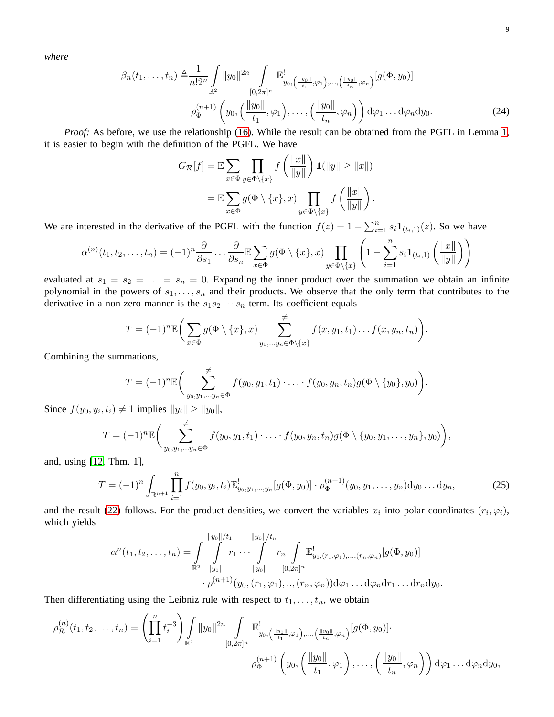*where*

$$
\beta_n(t_1,\ldots,t_n) \triangleq \frac{1}{n!2^n} \int_{\mathbb{R}^2} ||y_0||^{2n} \int_{[0,2\pi]^n} \mathbb{E}^!_{y_0,(\frac{||y_0||}{t_1},\varphi_1),\ldots,(\frac{||y_0||}{t_n},\varphi_n)} [g(\Phi,y_0)] \cdot \rho_{\Phi}^{(n+1)}\left(y_0,(\frac{||y_0||}{t_1},\varphi_1),\ldots,(\frac{||y_0||}{t_n},\varphi_n)\right) d\varphi_1 \ldots d\varphi_n dy_0.
$$
\n(24)

*Proof:* As before, we use the relationship [\(16\)](#page-6-0). While the result can be obtained from the PGFL in Lemma [1,](#page-4-2) it is easier to begin with the definition of the PGFL. We have

<span id="page-8-0"></span>
$$
G_{\mathcal{R}}[f] = \mathbb{E} \sum_{x \in \Phi} \prod_{y \in \Phi \setminus \{x\}} f\left(\frac{\|x\|}{\|y\|}\right) \mathbf{1}(\|y\| \ge \|x\|)
$$

$$
= \mathbb{E} \sum_{x \in \Phi} g(\Phi \setminus \{x\}, x) \prod_{y \in \Phi \setminus \{x\}} f\left(\frac{\|x\|}{\|y\|}\right).
$$

We are interested in the derivative of the PGFL with the function  $f(z) = 1 - \sum_{i=1}^{n} s_i \mathbf{1}_{(t_i,1)}(z)$ . So we have

$$
\alpha^{(n)}(t_1, t_2, \dots, t_n) = (-1)^n \frac{\partial}{\partial s_1} \dots \frac{\partial}{\partial s_n} \mathbb{E} \sum_{x \in \Phi} g(\Phi \setminus \{x\}, x) \prod_{y \in \Phi \setminus \{x\}} \left(1 - \sum_{i=1}^n s_i \mathbf{1}_{(t_i, 1)} \left(\frac{\|x\|}{\|y\|}\right)\right)
$$

evaluated at  $s_1 = s_2 = \ldots = s_n = 0$ . Expanding the inner product over the summation we obtain an infinite polynomial in the powers of  $s_1, \ldots, s_n$  and their products. We observe that the only term that contributes to the derivative in a non-zero manner is the  $s_1s_2\cdots s_n$  term. Its coefficient equals

$$
T = (-1)^n \mathbb{E} \bigg( \sum_{x \in \Phi} g(\Phi \setminus \{x\}, x) \sum_{y_1, \dots, y_n \in \Phi \setminus \{x\}}^{\neq} f(x, y_1, t_1) \dots f(x, y_n, t_n) \bigg).
$$

Combining the summations,

$$
T=(-1)^n \mathbb{E}\bigg(\sum_{y_0,y_1,\ldots,y_n\in\Phi}^{\neq} f(y_0,y_1,t_1)\cdot\ldots\cdot f(y_0,y_n,t_n)g(\Phi\setminus\{y_0\},y_0)\bigg).
$$

Since  $f(y_0, y_i, t_i) \neq 1$  implies  $||y_i|| \geq ||y_0||$ ,

$$
T = (-1)^n \mathbb{E} \bigg( \sum_{y_0, y_1, \dots, y_n \in \Phi}^{\neq} f(y_0, y_1, t_1) \cdot \dots \cdot f(y_0, y_n, t_n) g(\Phi \setminus \{y_0, y_1, \dots, y_n\}, y_0) \bigg),
$$

and, using [\[12,](#page-22-2) Thm. 1],

$$
T = (-1)^n \int_{\mathbb{R}^{n+1}} \prod_{i=1}^n f(y_0, y_i, t_i) \mathbb{E}_{y_0, y_1, \dots, y_n}^![g(\Phi, y_0)] \cdot \rho_{\Phi}^{(n+1)}(y_0, y_1, \dots, y_n) dy_0 \dots dy_n,
$$
 (25)

and the result [\(22\)](#page-7-2) follows. For the product densities, we convert the variables  $x_i$  into polar coordinates  $(r_i, \varphi_i)$ , which yields

$$
\alpha^{n}(t_{1}, t_{2}, \ldots, t_{n}) = \int_{\mathbb{R}^{2}} \int_{\|y_{0}\|}^{\|y_{0}\|/t_{1}} r_{1} \cdots \int_{\|y_{0}\|}^{n} r_{n} \int_{[0, 2\pi]^{n}} \mathbb{E}_{y_{0}, (r_{1}, \varphi_{1}), \ldots, (r_{n}, \varphi_{n})}^{!} [g(\Phi, y_{0})]
$$

$$
\cdot \rho^{(n+1)}(y_{0}, (r_{1}, \varphi_{1}), \ldots, (r_{n}, \varphi_{n})) d\varphi_{1} \ldots d\varphi_{n} dr_{1} \ldots dr_{n} dy_{0}.
$$

Then differentiating using the Leibniz rule with respect to  $t_1, \ldots, t_n$ , we obtain

$$
\rho_{\mathcal{R}}^{(n)}(t_1, t_2, \ldots, t_n) = \left(\prod_{i=1}^n t_i^{-3}\right) \int\limits_{\mathbb{R}^2} \|y_0\|^{2n} \int\limits_{[0, 2\pi]^n} \mathbb{E}^!_{y_0, \left(\frac{\|y_0\|}{t_1}, \varphi_1\right), \ldots, \left(\frac{\|y_0\|}{t_n}, \varphi_n\right)} [g(\Phi, y_0)] \cdot \newline \rho_{\Phi}^{(n+1)}\left(y_0, \left(\frac{\|y_0\|}{t_1}, \varphi_1\right), \ldots, \left(\frac{\|y_0\|}{t_n}, \varphi_n\right)\right) d\varphi_1 \ldots d\varphi_n dy_0,
$$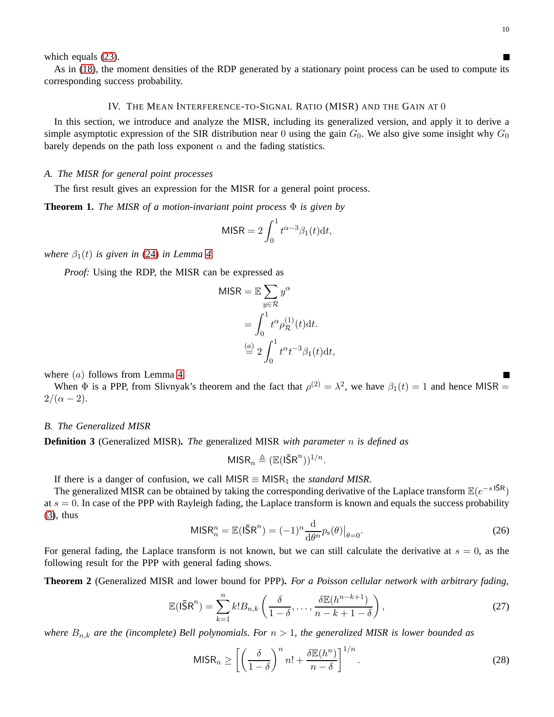П

 $\overline{\phantom{a}}$ 

which equals [\(23\)](#page-7-3).

As in [\(18\)](#page-6-1), the moment densities of the RDP generated by a stationary point process can be used to compute its corresponding success probability.

## IV. THE MEAN INTERFERENCE-TO-SIGNAL RATIO (MISR) AND THE GAIN AT 0

In this section, we introduce and analyze the MISR, including its generalized version, and apply it to derive a simple asymptotic expression of the SIR distribution near 0 using the gain  $G_0$ . We also give some insight why  $G_0$ barely depends on the path loss exponent  $\alpha$  and the fading statistics.

# *A. The MISR for general point processes*

The first result gives an expression for the MISR for a general point process.

<span id="page-9-0"></span>**Theorem 1.** *The MISR of a motion-invariant point process* Φ *is given by*

$$
MISR = 2\int_0^1 t^{\alpha - 3} \beta_1(t) dt,
$$

*where*  $\beta_1(t)$  *is given in* [\(24\)](#page-8-0) *in Lemma [4.](#page-7-4)* 

*Proof:* Using the RDP, the MISR can be expressed as

$$
MISR = \mathbb{E} \sum_{y \in \mathcal{R}} y^{\alpha}
$$

$$
= \int_0^1 t^{\alpha} \rho_{\mathcal{R}}^{(1)}(t) dt.
$$

$$
\stackrel{(a)}{=} 2 \int_0^1 t^{\alpha} t^{-3} \beta_1(t) dt,
$$

where  $(a)$  follows from Lemma [4.](#page-7-4)

When  $\Phi$  is a PPP, from Slivnyak's theorem and the fact that  $\rho^{(2)} = \lambda^2$ , we have  $\beta_1(t) = 1$  and hence MISR =  $2/(\alpha - 2)$ .

# *B. The Generalized MISR*

**Definition 3** (Generalized MISR)**.** *The* generalized MISR *with parameter* n *is defined as*

$$
MISR_n \triangleq (\mathbb{E}(I\bar{S}R^n))^{1/n}.
$$

If there is a danger of confusion, we call MISR  $\equiv$  MISR<sub>1</sub> the *standard MISR*.

The generalized MISR can be obtained by taking the corresponding derivative of the Laplace transform  $\mathbb{E}(e^{-s \cdot \overline{5R}})$ at  $s = 0$ . In case of the PPP with Rayleigh fading, the Laplace transform is known and equals the success probability [\(3\)](#page-0-1), thus

$$
MISR_n^n = \mathbb{E}(I\bar{S}R^n) = (-1)^n \frac{d}{d\theta^n} p_s(\theta)|_{\theta=0}.
$$
\n(26)

For general fading, the Laplace transform is not known, but we can still calculate the derivative at  $s = 0$ , as the following result for the PPP with general fading shows.

<span id="page-9-3"></span>**Theorem 2** (Generalized MISR and lower bound for PPP)**.** *For a Poisson cellular network with arbitrary fading,*

<span id="page-9-1"></span>
$$
\mathbb{E}(\mathsf{I}\bar{\mathsf{S}}\mathsf{R}^n) = \sum_{k=1}^n k! B_{n,k} \left( \frac{\delta}{1-\delta}, \dots, \frac{\delta \mathbb{E}(h^{n-k+1})}{n-k+1-\delta} \right),\tag{27}
$$

*where*  $B_{n,k}$  *are the (incomplete) Bell polynomials. For*  $n > 1$ *, the generalized MISR is lower bounded as* 

<span id="page-9-2"></span>
$$
\text{MISR}_n \ge \left[ \left( \frac{\delta}{1-\delta} \right)^n n! + \frac{\delta \mathbb{E}(h^n)}{n-\delta} \right]^{1/n} . \tag{28}
$$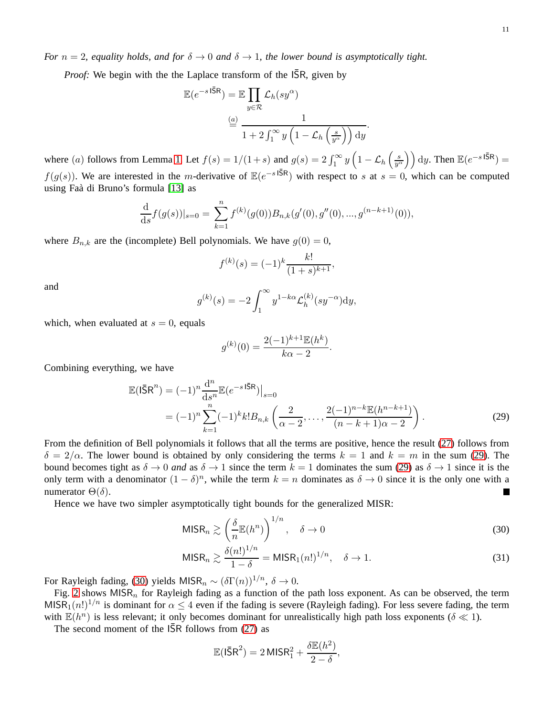*Proof:* We begin with the the Laplace transform of the  $\overline{\text{SR}}$ , given by

$$
\mathbb{E}(e^{-s \, \text{I}\bar{\mathsf{S}}\mathsf{R}}) = \mathbb{E} \prod_{y \in \mathcal{R}} \mathcal{L}_h(sy^{\alpha})
$$

$$
\stackrel{\text{(a)}}{=} \frac{1}{1 + 2 \int_1^{\infty} y \left(1 - \mathcal{L}_h\left(\frac{s}{y^{\alpha}}\right)\right) \, \mathrm{d}y}.
$$

where (a) follows from Lemma [1.](#page-4-2) Let  $f(s) = 1/(1+s)$  and  $g(s) = 2 \int_1^{\infty} y \left(1 - \mathcal{L}_h\left(\frac{s}{y^s}\right)\right)$  $\left(\frac{s}{y^{\alpha}}\right)$  dy. Then  $\mathbb{E}(e^{-s \cdot 1\bar{5}R}) =$  $f(g(s))$ . We are interested in the m-derivative of  $\mathbb{E}(e^{-s} \cdot \sqrt{5R})$  with respect to s at  $s = 0$ , which can be computed using Faà di Bruno's formula [\[13\]](#page-22-3) as

$$
\frac{\mathrm{d}}{\mathrm{d}s}f(g(s))|_{s=0} = \sum_{k=1}^{n} f^{(k)}(g(0))B_{n,k}(g'(0), g''(0), ..., g^{(n-k+1)}(0)),
$$

where  $B_{n,k}$  are the (incomplete) Bell polynomials. We have  $g(0) = 0$ ,

$$
f^{(k)}(s) = (-1)^k \frac{k!}{(1+s)^{k+1}},
$$

and

$$
g^{(k)}(s) = -2 \int_1^{\infty} y^{1-k\alpha} \mathcal{L}_h^{(k)}(sy^{-\alpha}) dy,
$$

which, when evaluated at  $s = 0$ , equals

<span id="page-10-0"></span>
$$
g^{(k)}(0) = \frac{2(-1)^{k+1} \mathbb{E}(h^k)}{k\alpha - 2}.
$$

Combining everything, we have

$$
\mathbb{E}(\mathsf{I\bar{S}R}^n) = (-1)^n \frac{d^n}{ds^n} \mathbb{E}(e^{-s\,\mathsf{I\bar{S}R}})\big|_{s=0}
$$
\n
$$
= (-1)^n \sum_{k=1}^n (-1)^k k! B_{n,k} \left(\frac{2}{\alpha - 2}, \dots, \frac{2(-1)^{n-k} \mathbb{E}(h^{n-k+1})}{(n-k+1)\alpha - 2}\right).
$$
\n(29)

From the definition of Bell polynomials it follows that all the terms are positive, hence the result [\(27\)](#page-9-1) follows from  $\delta = 2/\alpha$ . The lower bound is obtained by only considering the terms  $k = 1$  and  $k = m$  in the sum [\(29\)](#page-10-0). The bound becomes tight as  $\delta \to 0$  *and* as  $\delta \to 1$  since the term  $k = 1$  dominates the sum [\(29\)](#page-10-0) as  $\delta \to 1$  since it is the only term with a denominator  $(1 - \delta)^n$ , while the term  $k = n$  dominates as  $\delta \to 0$  since it is the only one with a numerator  $Θ(δ)$ .

Hence we have two simpler asymptotically tight bounds for the generalized MISR:

$$
\text{MISR}_n \gtrsim \left(\frac{\delta}{n} \mathbb{E}(h^n)\right)^{1/n}, \quad \delta \to 0 \tag{30}
$$

$$
\text{MISR}_n \gtrsim \frac{\delta(n!)^{1/n}}{1-\delta} = \text{MISR}_1(n!)^{1/n}, \quad \delta \to 1.
$$
 (31)

For Rayleigh fading, [\(30\)](#page-10-1) yields MISR<sub>n</sub>  $\sim (\delta \Gamma(n))^{1/n}$ ,  $\delta \to 0$ .

Fig. [2](#page-11-0) shows  $MISR<sub>n</sub>$  for Rayleigh fading as a function of the path loss exponent. As can be observed, the term MISR<sub>1</sub> $(n!)^{1/n}$  is dominant for  $\alpha \leq 4$  even if the fading is severe (Rayleigh fading). For less severe fading, the term with  $\mathbb{E}(h^n)$  is less relevant; it only becomes dominant for unrealistically high path loss exponents ( $\delta \ll 1$ ).

The second moment of the  $\overline{SR}$  follows from [\(27\)](#page-9-1) as

<span id="page-10-2"></span><span id="page-10-1"></span>
$$
\mathbb{E}(\bar{\mathsf{ISR}}^2) = 2 \,\mathsf{MISR}_1^2 + \frac{\delta \mathbb{E}(h^2)}{2 - \delta},
$$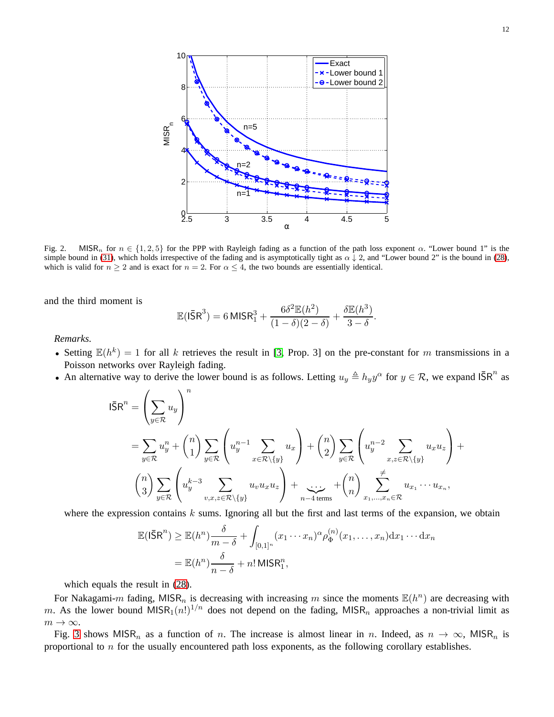

<span id="page-11-0"></span>Fig. 2. MISR<sub>n</sub> for  $n \in \{1, 2, 5\}$  for the PPP with Rayleigh fading as a function of the path loss exponent  $\alpha$ . "Lower bound 1" is the simple bound in [\(31\)](#page-10-2), which holds irrespective of the fading and is asymptotically tight as  $\alpha \downarrow 2$ , and "Lower bound 2" is the bound in [\(28\)](#page-9-2), which is valid for  $n \geq 2$  and is exact for  $n = 2$ . For  $\alpha \leq 4$ , the two bounds are essentially identical.

and the third moment is

$$
\mathbb{E}(\mathsf{I}\bar{\mathsf{S}}\mathsf{R}^3) = 6 \, \mathsf{M} \mathsf{I} \mathsf{S} \mathsf{R}_1^3 + \frac{6\delta^2 \mathbb{E}(h^2)}{(1-\delta)(2-\delta)} + \frac{\delta \mathbb{E}(h^3)}{3-\delta}
$$

.

*Remarks.*

- Setting  $\mathbb{E}(h^k) = 1$  for all k retrieves the result in [\[3,](#page-21-1) Prop. 3] on the pre-constant for m transmissions in a Poisson networks over Rayleigh fading.
- An alternative way to derive the lower bound is as follows. Letting  $u_y \triangleq h_y y^\alpha$  for  $y \in \mathcal{R}$ , we expand  $\overline{\mathsf{S}}\mathsf{R}^n$  as

$$
\begin{split} \mathsf{I\bar{S}R}^{n} &= \left(\sum_{y\in\mathcal{R}}u_{y}\right)^{n} \\ &= \sum_{y\in\mathcal{R}}u_{y}^{n}+\binom{n}{1}\sum_{y\in\mathcal{R}}\left(u_{y}^{n-1}\sum_{x\in\mathcal{R}\backslash\{y\}}u_{x}\right)+\binom{n}{2}\sum_{y\in\mathcal{R}}\left(u_{y}^{n-2}\sum_{x,z\in\mathcal{R}\backslash\{y\}}u_{x}u_{z}\right)+\\ &\left(\begin{matrix}n\\3\end{matrix}\right)\sum_{y\in\mathcal{R}}\left(u_{y}^{k-3}\sum_{v,x,z\in\mathcal{R}\backslash\{y\}}u_{v}u_{x}u_{z}\right)+\sum_{n-4\,\text{terms}}+\binom{n}{n}\sum_{x_{1},\dots,x_{n}\in\mathcal{R}}u_{x_{1}}\cdots u_{x_{n}},\end{split}
$$

where the expression contains  $k$  sums. Ignoring all but the first and last terms of the expansion, we obtain

$$
\mathbb{E}(\mathsf{I}\bar{\mathsf{S}}\mathsf{R}^n) \ge \mathbb{E}(h^n) \frac{\delta}{m-\delta} + \int_{[0,1]^n} (x_1 \cdots x_n)^\alpha \rho_{\Phi}^{(n)}(x_1,\ldots,x_n) \mathrm{d}x_1 \cdots \mathrm{d}x_n
$$

$$
= \mathbb{E}(h^n) \frac{\delta}{n-\delta} + n! \, \mathsf{MISR}_1^n,
$$

which equals the result in [\(28\)](#page-9-2).

For Nakagami-m fading, MISR<sub>n</sub> is decreasing with increasing m since the moments  $\mathbb{E}(h^n)$  are decreasing with m. As the lower bound MISR<sub>1</sub> $(n!)^{1/n}$  does not depend on the fading, MISR<sub>n</sub> approaches a non-trivial limit as  $m \to \infty$ .

Fig. [3](#page-12-0) shows MISR<sub>n</sub> as a function of n. The increase is almost linear in n. Indeed, as  $n \to \infty$ , MISR<sub>n</sub> is proportional to  $n$  for the usually encountered path loss exponents, as the following corollary establishes.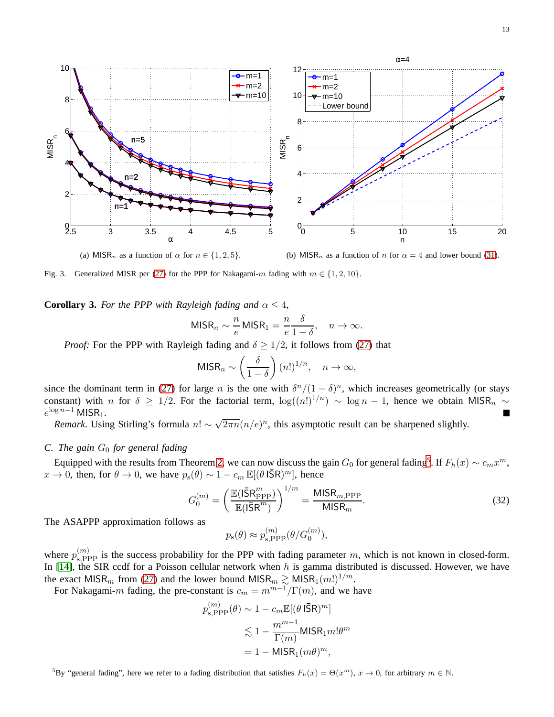

<span id="page-12-0"></span>(a) MISR<sub>n</sub> as a function of  $\alpha$  for  $n \in \{1, 2, 5\}$ .

(b) MISR<sub>n</sub> as a function of n for  $\alpha = 4$  and lower bound [\(31\)](#page-10-2).

Fig. 3. Generalized MISR per [\(27\)](#page-9-1) for the PPP for Nakagami-m fading with  $m \in \{1, 2, 10\}$ .

**Corollary 3.** *For the PPP with Rayleigh fading and*  $\alpha \leq 4$ *,* 

$$
\mathsf{MISR}_n \sim \frac{n}{e} \, \mathsf{MISR}_1 = \frac{n}{e} \frac{\delta}{1-\delta}, \quad n \to \infty.
$$

*Proof:* For the PPP with Rayleigh fading and  $\delta \geq 1/2$ , it follows from [\(27\)](#page-9-1) that

$$
\mathsf{MISR}_n \sim \left(\frac{\delta}{1-\delta}\right) (n!)^{1/n}, \quad n \to \infty,
$$

since the dominant term in [\(27\)](#page-9-1) for large *n* is the one with  $\delta^n/(1-\delta)^n$ , which increases geometrically (or stays constant) with n for  $\delta \geq 1/2$ . For the factorial term,  $\log((n!)^{1/n}) \sim \log n - 1$ , hence we obtain MISR<sub>n</sub> ~  $e^{\log n-1}$  MISR<sub>1</sub>.

*Remark.* Using Stirling's formula  $n! \sim \sqrt{2\pi n} (n/e)^n$ , this asymptotic result can be sharpened slightly.

# *C. The gain*  $G_0$  *for general fading*

Equipped with the results from Theorem [2,](#page-9-3) we can now discuss the gain  $G_0$  for general fading<sup>[5](#page-12-1)</sup>. If  $F_h(x) \sim c_m x^m$ ,  $x \to 0$ , then, for  $\theta \to 0$ , we have  $p_s(\theta) \sim 1 - c_m \mathbb{E}[(\theta \, \textsf{I} \bar{\textsf{S}} \textsf{R})^m]$ , hence

$$
G_0^{(m)} = \left(\frac{\mathbb{E}(I\bar{S}R_{\text{PPP}}^m)}{\mathbb{E}(I\bar{S}R^m)}\right)^{1/m} = \frac{\text{MISR}_{m,\text{PPP}}}{\text{MISR}_m}.
$$
\n(32)

The ASAPPP approximation follows as

$$
p_{s}(\theta) \approx p_{s,\text{PPP}}^{(m)}(\theta/G_0^{(m)}),
$$

where  $p_{\text{s,PPP}}^{(m)}$  is the success probability for the PPP with fading parameter m, which is not known in closed-form. In [\[14\]](#page-22-4), the SIR ccdf for a Poisson cellular network when  $h$  is gamma distributed is discussed. However, we have the exact MISR<sub>m</sub> from [\(27\)](#page-9-1) and the lower bound MISR<sub>m</sub>  $\gtrsim$  MISR<sub>1</sub>(m!)<sup>1/m</sup>.

For Nakagami-m fading, the pre-constant is  $c_m = m^{m-1}/\Gamma(m)$ , and we have

$$
p_{\text{s,PPP}}^{(m)}(\theta) \sim 1 - c_m \mathbb{E}[(\theta \operatorname{I\bar{S}R})^m]
$$
  

$$
\lesssim 1 - \frac{m^{m-1}}{\Gamma(m)} \text{MISR}_1 m! \theta^m
$$
  

$$
= 1 - \text{MISR}_1(m\theta)^m,
$$

<span id="page-12-1"></span><sup>5</sup>By "general fading", here we refer to a fading distribution that satisfies  $F_h(x) = \Theta(x^m)$ ,  $x \to 0$ , for arbitrary  $m \in \mathbb{N}$ .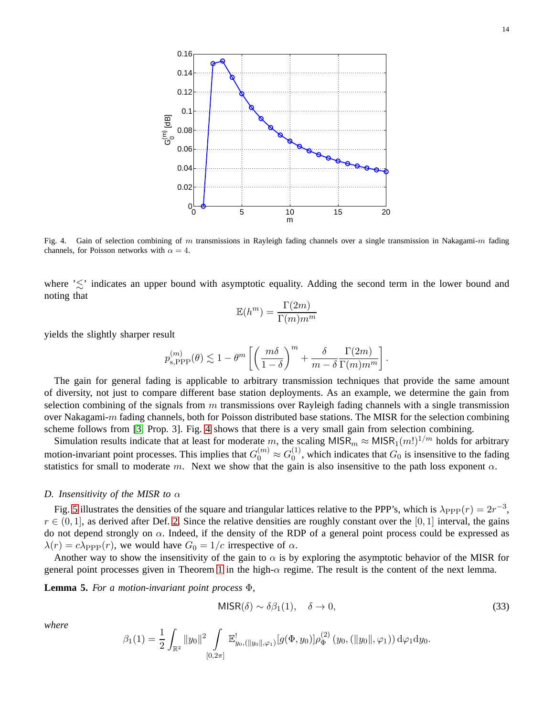

<span id="page-13-0"></span>Fig. 4. Gain of selection combining of m transmissions in Rayleigh fading channels over a single transmission in Nakagami-m fading channels, for Poisson networks with  $\alpha = 4$ .

where  $\leq$  indicates an upper bound with asymptotic equality. Adding the second term in the lower bound and noting that

$$
\mathbb{E}(h^{m}) = \frac{\Gamma(2m)}{\Gamma(m)m^{m}}
$$

yields the slightly sharper result

$$
p_{{\scriptscriptstyle{\mathbf{S}}},{\rm PPP}}^{(m)}(\theta) \lesssim 1-\theta^m\left[\left(\frac{m\delta}{1-\delta}\right)^m+\frac{\delta}{m-\delta}\frac{\Gamma(2m)}{\Gamma(m)m^m}\right].
$$

The gain for general fading is applicable to arbitrary transmission techniques that provide the same amount of diversity, not just to compare different base station deployments. As an example, we determine the gain from selection combining of the signals from  $m$  transmissions over Rayleigh fading channels with a single transmission over Nakagami-m fading channels, both for Poisson distributed base stations. The MISR for the selection combining scheme follows from [\[3,](#page-21-1) Prop. 3]. Fig. [4](#page-13-0) shows that there is a very small gain from selection combining.

Simulation results indicate that at least for moderate m, the scaling MISR<sub>m</sub>  $\approx$  MISR<sub>1</sub>(m!)<sup>1/m</sup> holds for arbitrary motion-invariant point processes. This implies that  $G_0^{(m)} \approx G_0^{(1)}$  $_{0}^{(1)}$ , which indicates that  $G_0$  is insensitive to the fading statistics for small to moderate m. Next we show that the gain is also insensitive to the path loss exponent  $\alpha$ .

# <span id="page-13-1"></span>*D. Insensitivity of the MISR to* α

Fig. [5](#page-14-0) illustrates the densities of the square and triangular lattices relative to the PPP's, which is  $\lambda_{\rm PPP}(r) = 2r^{-3}$ ,  $r \in (0, 1]$ , as derived after Def. [2.](#page-4-3) Since the relative densities are roughly constant over the [0, 1] interval, the gains do not depend strongly on  $\alpha$ . Indeed, if the density of the RDP of a general point process could be expressed as  $\lambda(r) = c\lambda_{\text{PPP}}(r)$ , we would have  $G_0 = 1/c$  irrespective of  $\alpha$ .

Another way to show the insensitivity of the gain to  $\alpha$  is by exploring the asymptotic behavior of the MISR for general point processes given in Theorem [1](#page-9-0) in the high-α regime. The result is the content of the next lemma.

**Lemma 5.** *For a motion-invariant point process* Φ*,*

$$
MISR(\delta) \sim \delta \beta_1(1), \quad \delta \to 0,
$$
\n(33)

*where*

$$
\beta_1(1) = \frac{1}{2} \int_{\mathbb{R}^2} ||y_0||^2 \int_{[0,2\pi]} \mathbb{E}_{y_0, (||y_0||, \varphi_1)}^! [g(\Phi, y_0)] \rho_{\Phi}^{(2)}(y_0, (||y_0||, \varphi_1)) d\varphi_1 d y_0.
$$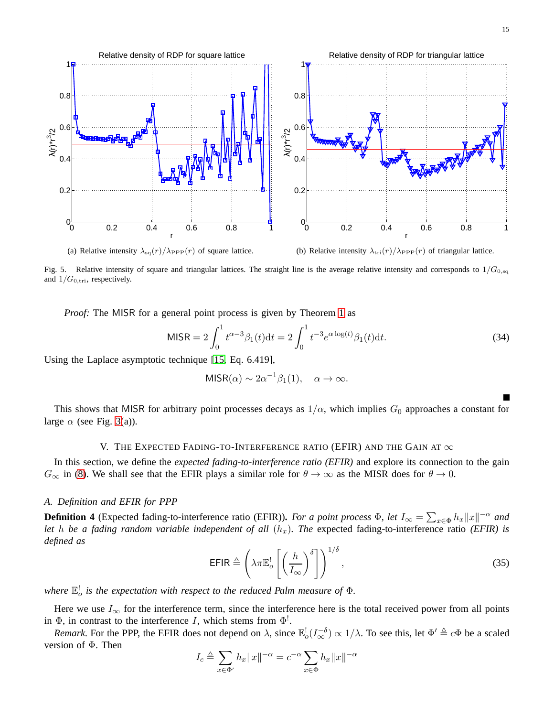

<span id="page-14-0"></span>(a) Relative intensity  $\lambda_{\text{sq}}(r)/\lambda_{\text{PPP}}(r)$  of square lattice.

(b) Relative intensity  $\lambda_{\text{tri}}(r)/\lambda_{\text{PPP}}(r)$  of triangular lattice.

Fig. 5. Relative intensity of square and triangular lattices. The straight line is the average relative intensity and corresponds to  $1/G_{0,\text{sq}}$ and  $1/G_{0,\text{tri}}$ , respectively.

*Proof:* The MISR for a general point process is given by Theorem [1](#page-9-0) as

$$
MISR = 2\int_0^1 t^{\alpha-3}\beta_1(t)dt = 2\int_0^1 t^{-3}e^{\alpha \log(t)}\beta_1(t)dt.
$$
 (34)

Using the Laplace asymptotic technique [\[15,](#page-22-5) Eq. 6.419],

$$
MISR(\alpha) \sim 2\alpha^{-1}\beta_1(1), \quad \alpha \to \infty.
$$

This shows that MISR for arbitrary point processes decays as  $1/\alpha$ , which implies  $G_0$  approaches a constant for large  $\alpha$  (see Fig. [3\(](#page-12-0)a)).

## V. THE EXPECTED FADING-TO-INTERFERENCE RATIO (EFIR) AND THE GAIN AT  $\infty$

In this section, we define the *expected fading-to-interference ratio (EFIR)* and explore its connection to the gain  $G_{\infty}$  in [\(8\)](#page-3-0). We shall see that the EFIR plays a similar role for  $\theta \to \infty$  as the MISR does for  $\theta \to 0$ .

## *A. Definition and EFIR for PPP*

<span id="page-14-2"></span>**Definition 4** (Expected fading-to-interference ratio (EFIR)). *For a point process*  $\Phi$ , *let*  $I_\infty = \sum_{x \in \Phi} h_x ||x||^{-\alpha}$  *and let* h *be a fading random variable independent of all*  $(h_x)$ *. The expected fading-to-interference ratio (EFIR) is defined as*

<span id="page-14-1"></span>
$$
\text{EFIR} \triangleq \left(\lambda \pi \mathbb{E}_o^! \left[ \left(\frac{h}{I_\infty}\right)^{\delta} \right] \right)^{1/\delta},\tag{35}
$$

where  $\mathbb{E}^!_o$  is the expectation with respect to the reduced Palm measure of  $\Phi$ .

Here we use  $I_{\infty}$  for the interference term, since the interference here is the total received power from all points in  $\Phi$ , in contrast to the interference I, which stems from  $\Phi^!$ .

*Remark.* For the PPP, the EFIR does not depend on  $\lambda$ , since  $\mathbb{E}_o^!(I_{\infty}^{-\delta}) \propto 1/\lambda$ . To see this, let  $\Phi' \triangleq c\Phi$  be a scaled version of Φ. Then

$$
I_c \triangleq \sum_{x \in \Phi'} h_x ||x||^{-\alpha} = c^{-\alpha} \sum_{x \in \Phi} h_x ||x||^{-\alpha}
$$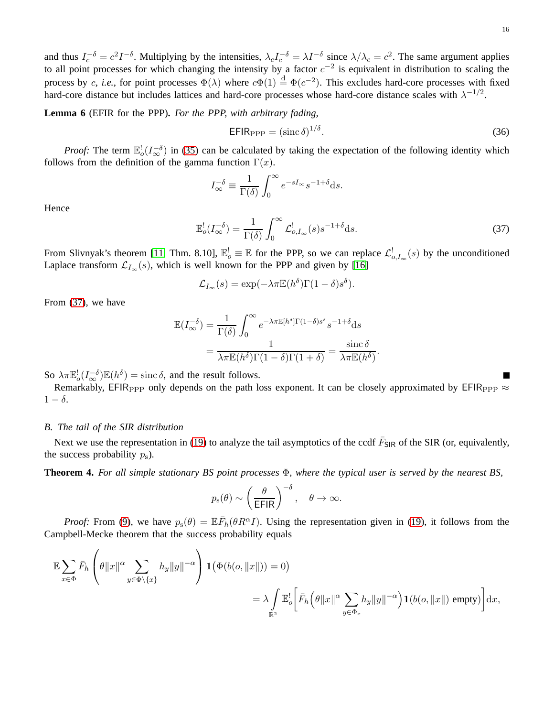and thus  $I_c^{-\delta} = c^2 I^{-\delta}$ . Multiplying by the intensities,  $\lambda_c I_c^{-\delta} = \lambda I^{-\delta}$  since  $\lambda/\lambda_c = c^2$ . The same argument applies to all point processes for which changing the intensity by a factor  $c^{-2}$  is equivalent in distribution to scaling the process by c, *i.e.*, for point processes  $\Phi(\lambda)$  where  $c\Phi(1) \stackrel{d}{=} \Phi(c^{-2})$ . This excludes hard-core processes with fixed hard-core distance but includes lattices and hard-core processes whose hard-core distance scales with  $\lambda^{-1/2}$ .

<span id="page-15-2"></span>**Lemma 6** (EFIR for the PPP)**.** *For the PPP, with arbitrary fading,*

$$
EFIR_{\rm PPP} = (\sin \delta)^{1/\delta}.
$$
 (36)

*Proof:* The term  $\mathbb{E}_o^!(I_{\infty}^{-\delta})$  in [\(35\)](#page-14-1) can be calculated by taking the expectation of the following identity which follows from the definition of the gamma function  $\Gamma(x)$ .

$$
I_{\infty}^{-\delta} \equiv \frac{1}{\Gamma(\delta)} \int_0^{\infty} e^{-sI_{\infty}} s^{-1+\delta} \mathrm{d}s.
$$

Hence

$$
\mathbb{E}_o^!(I_{\infty}^{-\delta}) = \frac{1}{\Gamma(\delta)} \int_0^{\infty} \mathcal{L}_{o,I_{\infty}}^!(s) s^{-1+\delta} \mathrm{d}s. \tag{37}
$$

From Slivnyak's theorem [\[11,](#page-22-1) Thm. 8.10],  $\mathbb{E}_o^! \equiv \mathbb{E}$  for the PPP, so we can replace  $\mathcal{L}_{o,\mathcal{I}_{\infty}}^!(s)$  by the unconditioned Laplace transform  $\mathcal{L}_{I_{\infty}}(s)$ , which is well known for the PPP and given by [\[16\]](#page-22-6)

$$
\mathcal{L}_{I_{\infty}}(s) = \exp(-\lambda \pi \mathbb{E}(h^{\delta})\Gamma(1-\delta)s^{\delta}).
$$

From [\(37\)](#page-15-0), we have

$$
\mathbb{E}(I_{\infty}^{-\delta}) = \frac{1}{\Gamma(\delta)} \int_0^{\infty} e^{-\lambda \pi \mathbb{E}[h^{\delta}]\Gamma(1-\delta)s^{\delta}} s^{-1+\delta} ds
$$

$$
= \frac{1}{\lambda \pi \mathbb{E}(h^{\delta})\Gamma(1-\delta)\Gamma(1+\delta)} = \frac{\operatorname{sinc}\delta}{\lambda \pi \mathbb{E}(h^{\delta})}.
$$

So  $\lambda \pi \mathbb{E}^!_o(I_{\infty}^{-\delta}) \mathbb{E}(h^{\delta}) = \text{sinc } \delta$ , and the result follows.

Remarkably, EFIR<sub>PPP</sub> only depends on the path loss exponent. It can be closely approximated by EFIR<sub>PPP</sub>  $\approx$  $1 - \delta$ .

#### *B. The tail of the SIR distribution*

Next we use the representation in [\(19\)](#page-7-0) to analyze the tail asymptotics of the ccdf  $\bar{F}_{SIR}$  of the SIR (or, equivalently, the success probability  $p_s$ ).

<span id="page-15-1"></span>**Theorem 4.** *For all simple stationary BS point processes* Φ*, where the typical user is served by the nearest BS,*

$$
p_s(\theta) \sim \left(\frac{\theta}{\text{EFIR}}\right)^{-\delta}, \quad \theta \to \infty.
$$

*Proof:* From [\(9\)](#page-3-1), we have  $p_s(\theta) = \mathbb{E}\overline{F}_h(\theta R^{\alpha}I)$ . Using the representation given in [\(19\)](#page-7-0), it follows from the Campbell-Mecke theorem that the success probability equals

$$
\mathbb{E}\sum_{x\in\Phi}\bar{F}_h\left(\theta\|x\|^{\alpha}\sum_{y\in\Phi\backslash\{x\}}h_y\|y\|^{-\alpha}\right)\mathbf{1}\left(\Phi(b(o,\|x\|))=0\right)
$$

$$
=\lambda\int_{\mathbb{R}^2}\mathbb{E}_o^!\left[\bar{F}_h\left(\theta\|x\|^{\alpha}\sum_{y\in\Phi_x}h_y\|y\|^{-\alpha}\right)\mathbf{1}(b(o,\|x\|)\text{ empty})\right]\mathrm{d}x,
$$

<span id="page-15-0"></span>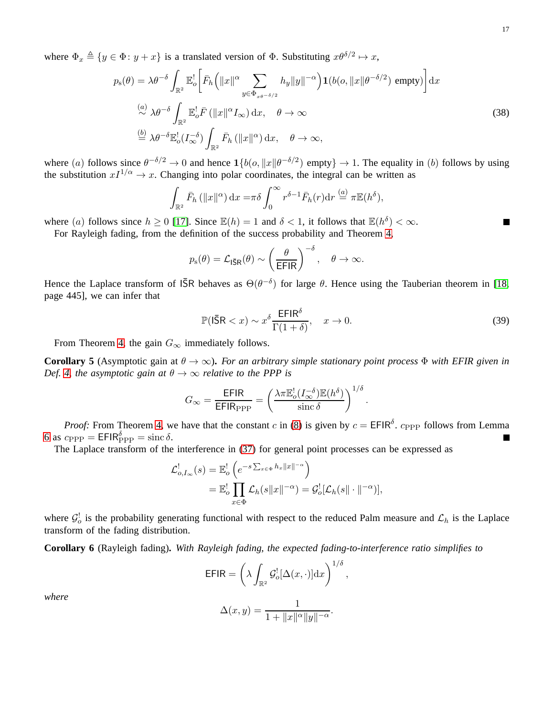where  $\Phi_x \triangleq \{y \in \Phi : y + x\}$  is a translated version of  $\Phi$ . Substituting  $x\theta^{\delta/2} \mapsto x$ ,

$$
p_{s}(\theta) = \lambda \theta^{-\delta} \int_{\mathbb{R}^{2}} \mathbb{E}_{o}^{!} \left[ \bar{F}_{h} \left( \|x\|^{\alpha} \sum_{y \in \Phi_{x\theta^{-\delta/2}}} h_{y} \|y\|^{-\alpha} \right) \mathbf{1}(b(o, \|x\| \theta^{-\delta/2}) \text{ empty}) \right] dx
$$
  
\n
$$
\stackrel{(a)}{\sim} \lambda \theta^{-\delta} \int_{\mathbb{R}^{2}} \mathbb{E}_{o}^{!} \bar{F} \left( \|x\|^{\alpha} I_{\infty} \right) dx, \quad \theta \to \infty
$$
  
\n
$$
\stackrel{(b)}{=} \lambda \theta^{-\delta} \mathbb{E}_{o}^{!} (I_{\infty}^{-\delta}) \int_{\mathbb{R}^{2}} \bar{F}_{h} \left( \|x\|^{\alpha} \right) dx, \quad \theta \to \infty,
$$
\n(38)

where (a) follows since  $\theta^{-\delta/2} \to 0$  and hence  $\mathbb{1}\{b(o, ||x|| \theta^{-\delta/2}) \text{ empty}\} \to 1$ . The equality in (b) follows by using the substitution  $xI^{1/\alpha} \to x$ . Changing into polar coordinates, the integral can be written as

<span id="page-16-0"></span>
$$
\int_{\mathbb{R}^2} \bar{F}_h \left( \|x\|^{\alpha} \right) dx = \pi \delta \int_0^{\infty} r^{\delta - 1} \bar{F}_h(r) dr \stackrel{(a)}{=} \pi \mathbb{E}(h^{\delta}),
$$

where (a) follows since  $h \ge 0$  [\[17\]](#page-22-7). Since  $\mathbb{E}(h) = 1$  and  $\delta < 1$ , it follows that  $\mathbb{E}(h^{\delta}) < \infty$ . Г For Rayleigh fading, from the definition of the success probability and Theorem [4,](#page-15-1)

$$
p_{\rm s}(\theta) = \mathcal{L}_{\bar{\rm ISR}}(\theta) \sim \left(\frac{\theta}{\text{EFIR}}\right)^{-\delta}, \quad \theta \to \infty.
$$

Hence the Laplace transform of  $\overline{SR}$  behaves as  $\Theta(\theta^{-\delta})$  for large  $\theta$ . Hence using the Tauberian theorem in [\[18,](#page-22-8) page 445], we can infer that

$$
\mathbb{P}(\mathsf{I}\bar{\mathsf{S}}\mathsf{R} < x) \sim x^{\delta} \frac{\mathsf{E}\mathsf{F}\mathsf{I}\mathsf{R}^{\delta}}{\Gamma(1+\delta)}, \quad x \to 0. \tag{39}
$$

From Theorem [4,](#page-15-1) the gain  $G_{\infty}$  immediately follows.

**Corollary 5** (Asymptotic gain at  $\theta \to \infty$ ). *For an arbitrary simple stationary point process*  $\Phi$  *with EFIR given in Def.* [4,](#page-14-2) the asymptotic gain at  $\theta \rightarrow \infty$  relative to the PPP is

$$
G_{\infty} = \frac{\text{EFIR}}{\text{EFIR}_{\text{PPP}}} = \left(\frac{\lambda \pi \mathbb{E}_o^! (I_{\infty}^{-\delta}) \mathbb{E}(h^{\delta})}{\text{sinc } \delta}\right)^{1/\delta}.
$$

*Proof:* From Theorem [4,](#page-15-1) we have that the constant c in [\(8\)](#page-3-0) is given by  $c = \text{EPIR}^{\delta}$ .  $c_{\text{PPP}}$  follows from Lemma [6](#page-15-2) as  $c_{\rm PPP} = \text{EFIR}_{\rm PPP}^{\delta} = \text{sinc }\delta.$ 

The Laplace transform of the interference in [\(37\)](#page-15-0) for general point processes can be expressed as

$$
\mathcal{L}_{o,I_{\infty}}^{!}(s) = \mathbb{E}_{o}^{!} \left( e^{-s \sum_{x \in \Phi} h_{x} ||x||^{-\alpha}} \right)
$$
  
= 
$$
\mathbb{E}_{o}^{!} \prod_{x \in \Phi} \mathcal{L}_{h}(s ||x||^{-\alpha}) = \mathcal{G}_{o}^{!} [\mathcal{L}_{h}(s || \cdot ||^{-\alpha})],
$$

where  $\mathcal{G}_o^!$  is the probability generating functional with respect to the reduced Palm measure and  $\mathcal{L}_h$  is the Laplace transform of the fading distribution.

<span id="page-16-1"></span>**Corollary 6** (Rayleigh fading)**.** *With Rayleigh fading, the expected fading-to-interference ratio simplifies to*

$$
\mathsf{EFIR} = \left(\lambda \int_{\mathbb{R}^2} \mathcal{G}_o^! [\Delta(x, \cdot)] dx\right)^{1/\delta},
$$

*where*

$$
(x, y) = \frac{1}{\cdots \cdots \cdots \cdots}.
$$

$$
\Delta(x, y) = \frac{1}{1 + \|x\|^{\alpha} \|y\|^{-\alpha}}.
$$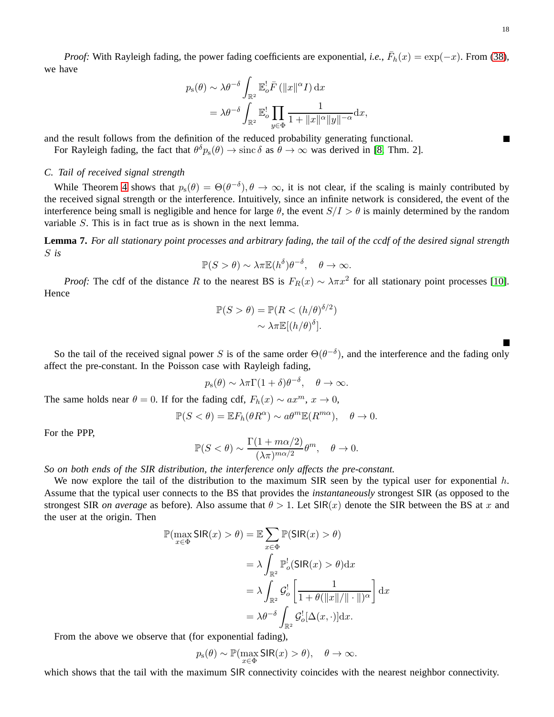*Proof:* With Rayleigh fading, the power fading coefficients are exponential, *i.e.*,  $\bar{F}_h(x) = \exp(-x)$ . From [\(38\)](#page-16-0), we have

$$
p_{s}(\theta) \sim \lambda \theta^{-\delta} \int_{\mathbb{R}^{2}} \mathbb{E}_{o}^{!} \overline{F} \left( \|x\|^{\alpha} I \right) dx
$$
  
=  $\lambda \theta^{-\delta} \int_{\mathbb{R}^{2}} \mathbb{E}_{o}^{!} \prod_{y \in \Phi} \frac{1}{1 + \|x\|^{\alpha} \|y\|^{-\alpha}} dx,$ 

and the result follows from the definition of the reduced probability generating functional.

For Rayleigh fading, the fact that  $\theta^{\delta} p_{s}(\theta) \to \text{sinc } \delta$  as  $\theta \to \infty$  was derived in [\[8,](#page-21-7) Thm. 2].

# *C. Tail of received signal strength*

While Theorem [4](#page-15-1) shows that  $p_s(\theta) = \Theta(\theta^{-\delta}), \theta \to \infty$ , it is not clear, if the scaling is mainly contributed by the received signal strength or the interference. Intuitively, since an infinite network is considered, the event of the interference being small is negligible and hence for large  $\theta$ , the event  $S/I > \theta$  is mainly determined by the random variable S. This is in fact true as is shown in the next lemma.

**Lemma 7.** *For all stationary point processes and arbitrary fading, the tail of the ccdf of the desired signal strength* S *is*

$$
\mathbb{P}(S > \theta) \sim \lambda \pi \mathbb{E}(h^{\delta}) \theta^{-\delta}, \quad \theta \to \infty.
$$

*Proof:* The cdf of the distance R to the nearest BS is  $F_R(x) \sim \lambda \pi x^2$  for all stationary point processes [\[10\]](#page-22-0). Hence

$$
\mathbb{P}(S > \theta) = \mathbb{P}(R < (h/\theta)^{\delta/2})
$$

$$
\sim \lambda \pi \mathbb{E}[(h/\theta)^{\delta}].
$$

So the tail of the received signal power S is of the same order  $\Theta(\theta^{-\delta})$ , and the interference and the fading only affect the pre-constant. In the Poisson case with Rayleigh fading,

$$
p_s(\theta) \sim \lambda \pi \Gamma(1+\delta) \theta^{-\delta}, \quad \theta \to \infty.
$$

The same holds near  $\theta = 0$ . If for the fading cdf,  $F_h(x) \sim ax^m$ ,  $x \to 0$ ,

$$
\mathbb{P}(S < \theta) = \mathbb{E}F_h(\theta R^{\alpha}) \sim a\theta^m \mathbb{E}(R^{m\alpha}), \quad \theta \to 0.
$$

For the PPP,

$$
\mathbb{P}(S < \theta) \sim \frac{\Gamma(1 + m\alpha/2)}{(\lambda \pi)^{m\alpha/2}} \theta^m, \quad \theta \to 0.
$$

*So on both ends of the SIR distribution, the interference only affects the pre-constant.*

We now explore the tail of the distribution to the maximum SIR seen by the typical user for exponential  $h$ . Assume that the typical user connects to the BS that provides the *instantaneously* strongest SIR (as opposed to the strongest SIR *on average* as before). Also assume that  $\theta > 1$ . Let SIR(x) denote the SIR between the BS at x and the user at the origin. Then

$$
\mathbb{P}(\max_{x \in \Phi} \text{SIR}(x) > \theta) = \mathbb{E} \sum_{x \in \Phi} \mathbb{P}(\text{SIR}(x) > \theta)
$$

$$
= \lambda \int_{\mathbb{R}^2} \mathbb{P}_o^!(\text{SIR}(x) > \theta) dx
$$

$$
= \lambda \int_{\mathbb{R}^2} \mathcal{G}_o^! \left[ \frac{1}{1 + \theta(\|x\|/\|\cdot\|)^{\alpha}} \right] dx
$$

$$
= \lambda \theta^{-\delta} \int_{\mathbb{R}^2} \mathcal{G}_o^! [\Delta(x, \cdot)] dx.
$$

From the above we observe that (for exponential fading),

$$
p_{\rm s}(\theta)\sim\mathbb{P}(\max_{x\in\Phi}\textsf{SIR}(x)>\theta),\quad\theta\to\infty.
$$

which shows that the tail with the maximum SIR connectivity coincides with the nearest neighbor connectivity.

 $\blacksquare$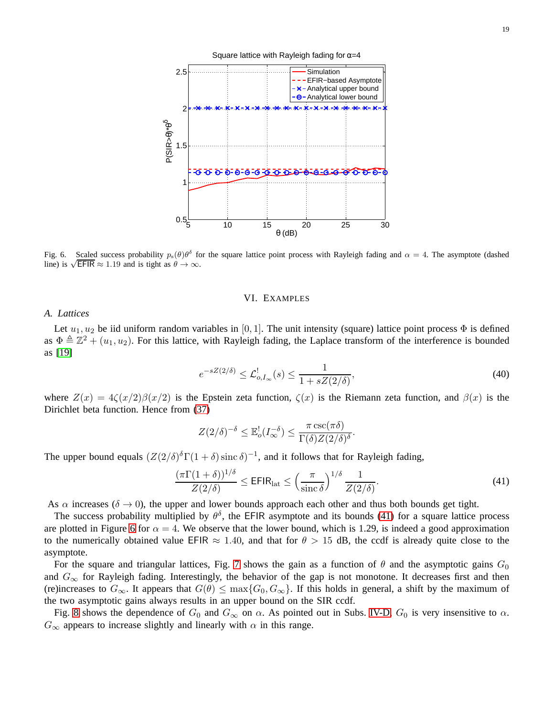

<span id="page-18-1"></span>Fig. 6. Scaled success probability  $p_s(\theta)\theta^{\delta}$  for the square lattice point process with Rayleigh fading and  $\alpha = 4$ . The asymptote (dashed line) is  $\sqrt{\text{EFIR}} \approx 1.19$  and is tight as  $\theta \to \infty$ .

#### VI. EXAMPLES

# *A. Lattices*

Let  $u_1, u_2$  be iid uniform random variables in [0, 1]. The unit intensity (square) lattice point process  $\Phi$  is defined as  $\Phi \triangleq \mathbb{Z}^2 + (u_1, u_2)$ . For this lattice, with Rayleigh fading, the Laplace transform of the interference is bounded as [\[19\]](#page-22-9)

$$
e^{-sZ(2/\delta)} \leq \mathcal{L}_{o,I_{\infty}}^!(s) \leq \frac{1}{1 + sZ(2/\delta)},\tag{40}
$$

where  $Z(x) = 4\zeta(x/2)\beta(x/2)$  is the Epstein zeta function,  $\zeta(x)$  is the Riemann zeta function, and  $\beta(x)$  is the Dirichlet beta function. Hence from [\(37\)](#page-15-0)

<span id="page-18-0"></span>
$$
Z(2/\delta)^{-\delta} \leq \mathbb{E}_o^!(I_{\infty}^{-\delta}) \leq \frac{\pi \csc(\pi \delta)}{\Gamma(\delta)Z(2/\delta)^{\delta}}.
$$

The upper bound equals  $(Z(2/\delta)^{\delta}\Gamma(1+\delta)\operatorname{sinc} \delta)^{-1}$ , and it follows that for Rayleigh fading,

$$
\frac{(\pi \Gamma(1+\delta))^{1/\delta}}{Z(2/\delta)} \le \mathsf{EFIR}_{\text{lat}} \le \left(\frac{\pi}{\text{sinc }\delta}\right)^{1/\delta} \frac{1}{Z(2/\delta)}.\tag{41}
$$

As  $\alpha$  increases ( $\delta \rightarrow 0$ ), the upper and lower bounds approach each other and thus both bounds get tight.

The success probability multiplied by  $\theta^{\delta}$ , the EFIR asymptote and its bounds [\(41\)](#page-18-0) for a square lattice process are plotted in Figure [6](#page-18-1) for  $\alpha = 4$ . We observe that the lower bound, which is 1.29, is indeed a good approximation to the numerically obtained value EFIR  $\approx 1.40$ , and that for  $\theta > 15$  dB, the ccdf is already quite close to the asymptote.

For the square and triangular lattices, Fig. [7](#page-19-0) shows the gain as a function of  $\theta$  and the asymptotic gains  $G_0$ and  $G_{\infty}$  for Rayleigh fading. Interestingly, the behavior of the gap is not monotone. It decreases first and then (re)increases to  $G_{\infty}$ . It appears that  $G(\theta) \leq \max\{G_0, G_{\infty}\}\$ . If this holds in general, a shift by the maximum of the two asymptotic gains always results in an upper bound on the SIR ccdf.

Fig. [8](#page-19-1) shows the dependence of  $G_0$  and  $G_\infty$  on  $\alpha$ . As pointed out in Subs. [IV-D,](#page-13-1)  $G_0$  is very insensitive to  $\alpha$ .  $G_{\infty}$  appears to increase slightly and linearly with  $\alpha$  in this range.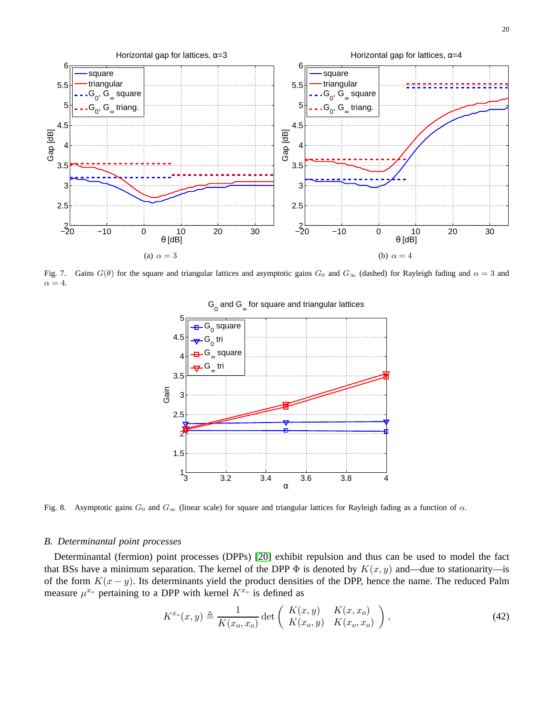

<span id="page-19-0"></span>Fig. 7. Gains  $G(\theta)$  for the square and triangular lattices and asymptotic gains  $G_0$  and  $G_{\infty}$  (dashed) for Rayleigh fading and  $\alpha = 3$  and  $\alpha = 4$ .



 ${\mathsf G}_{_{\mathsf O}}$  and  ${\mathsf G}_{_{\infty}}$  for square and triangular lattices

<span id="page-19-1"></span>Fig. 8. Asymptotic gains  $G_0$  and  $G_\infty$  (linear scale) for square and triangular lattices for Rayleigh fading as a function of  $\alpha$ .

## *B. Determinantal point processes*

Determinantal (fermion) point processes (DPPs) [\[20\]](#page-22-10) exhibit repulsion and thus can be used to model the fact that BSs have a minimum separation. The kernel of the DPP  $\Phi$  is denoted by  $K(x, y)$  and—due to stationarity—is of the form  $K(x - y)$ . Its determinants yield the product densities of the DPP, hence the name. The reduced Palm measure  $\mu^{x_o}$  pertaining to a DPP with kernel  $K^{x_o}$  is defined as

$$
K^{x_o}(x,y) \triangleq \frac{1}{K(x_o, x_o)} \det \left( \begin{array}{cc} K(x,y) & K(x, x_o) \\ K(x_o, y) & K(x_o, x_o) \end{array} \right),
$$
 (42)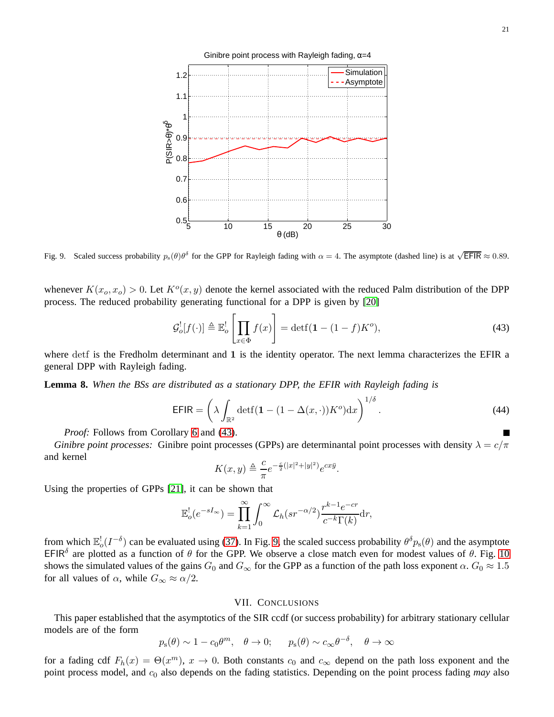

<span id="page-20-1"></span>Fig. 9. Scaled success probability  $p_s(\theta)\theta^{\delta}$  for the GPP for Rayleigh fading with  $\alpha = 4$ . The asymptote (dashed line) is at  $\sqrt{\text{EFIR}} \approx 0.89$ .

whenever  $K(x_0, x_0) > 0$ . Let  $K^o(x, y)$  denote the kernel associated with the reduced Palm distribution of the DPP process. The reduced probability generating functional for a DPP is given by [\[20\]](#page-22-10)

$$
\mathcal{G}_o^![f(\cdot)] \triangleq \mathbb{E}_o^! \left[ \prod_{x \in \Phi} f(x) \right] = \det f(\mathbf{1} - (1 - f)K^o),\tag{43}
$$

where detf is the Fredholm determinant and 1 is the identity operator. The next lemma characterizes the EFIR a general DPP with Rayleigh fading.

**Lemma 8.** *When the BSs are distributed as a stationary DPP, the EFIR with Rayleigh fading is*

$$
\text{EFIR} = \left(\lambda \int_{\mathbb{R}^2} \det f(\mathbf{1} - (1 - \Delta(x, \cdot)) K^o) \mathrm{d}x\right)^{1/\delta}.
$$
 (44)

*Proof:* Follows from Corollary [6](#page-16-1) and [\(43\)](#page-20-0).

*Ginibre point processes:* Ginibre point processes (GPPs) are determinantal point processes with density  $\lambda = c/\pi$ and kernel

<span id="page-20-0"></span>
$$
K(x,y) \triangleq \frac{c}{\pi} e^{-\frac{c}{2}(|x|^2+|y|^2)} e^{cx\bar{y}}.
$$

Using the properties of GPPs [\[21\]](#page-22-11), it can be shown that

$$
\mathbb{E}_o'(e^{-sI_\infty}) = \prod_{k=1}^\infty \int_0^\infty \mathcal{L}_h(sr^{-\alpha/2}) \frac{r^{k-1}e^{-cr}}{c^{-k}\Gamma(k)} dr,
$$

from which  $\mathbb{E}_{o}^{!}(I^{-\delta})$  can be evaluated using [\(37\)](#page-15-0). In Fig. [9,](#page-20-1) the scaled success probability  $\theta^{\delta}p_{s}(\theta)$  and the asymptote EFIR<sup> $\delta$ </sup> are plotted as a function of  $\theta$  for the GPP. We observe a close match even for modest values of  $\theta$ . Fig. [10](#page-21-9) shows the simulated values of the gains  $G_0$  and  $G_{\infty}$  for the GPP as a function of the path loss exponent  $\alpha$ .  $G_0 \approx 1.5$ for all values of  $\alpha$ , while  $G_{\infty} \approx \alpha/2$ .

## VII. CONCLUSIONS

This paper established that the asymptotics of the SIR ccdf (or success probability) for arbitrary stationary cellular models are of the form

$$
p_s(\theta) \sim 1 - c_0 \theta^m
$$
,  $\theta \to 0$ ;  $p_s(\theta) \sim c_\infty \theta^{-\delta}$ ,  $\theta \to \infty$ 

for a fading cdf  $F_h(x) = \Theta(x^m)$ ,  $x \to 0$ . Both constants  $c_0$  and  $c_\infty$  depend on the path loss exponent and the point process model, and c<sup>0</sup> also depends on the fading statistics. Depending on the point process fading *may* also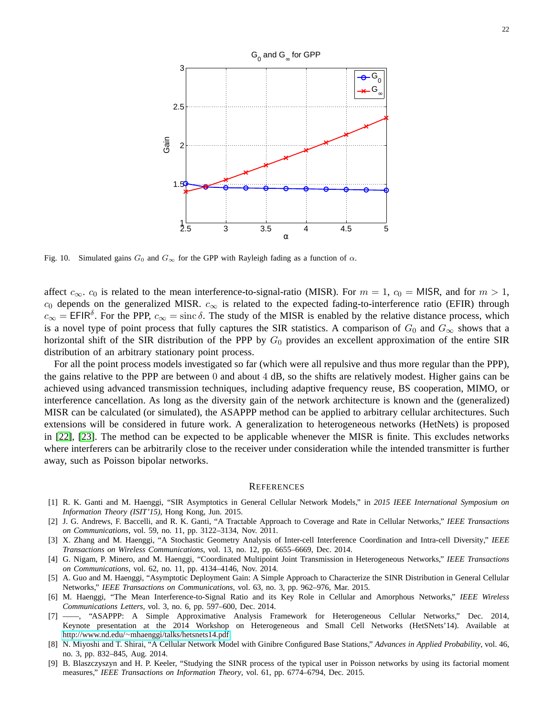

<span id="page-21-9"></span>Fig. 10. Simulated gains  $G_0$  and  $G_\infty$  for the GPP with Rayleigh fading as a function of  $\alpha$ .

affect  $c_{\infty}$ .  $c_0$  is related to the mean interference-to-signal-ratio (MISR). For  $m = 1$ ,  $c_0 = MISR$ , and for  $m > 1$ ,  $c_0$  depends on the generalized MISR.  $c_\infty$  is related to the expected fading-to-interference ratio (EFIR) through  $c_{\infty}$  = EFIR<sup>δ</sup>. For the PPP,  $c_{\infty}$  = sinc δ. The study of the MISR is enabled by the relative distance process, which is a novel type of point process that fully captures the SIR statistics. A comparison of  $G_0$  and  $G_\infty$  shows that a horizontal shift of the SIR distribution of the PPP by  $G_0$  provides an excellent approximation of the entire SIR distribution of an arbitrary stationary point process.

For all the point process models investigated so far (which were all repulsive and thus more regular than the PPP), the gains relative to the PPP are between 0 and about 4 dB, so the shifts are relatively modest. Higher gains can be achieved using advanced transmission techniques, including adaptive frequency reuse, BS cooperation, MIMO, or interference cancellation. As long as the diversity gain of the network architecture is known and the (generalized) MISR can be calculated (or simulated), the ASAPPP method can be applied to arbitrary cellular architectures. Such extensions will be considered in future work. A generalization to heterogeneous networks (HetNets) is proposed in [\[22\]](#page-22-12), [\[23\]](#page-22-13). The method can be expected to be applicable whenever the MISR is finite. This excludes networks where interferers can be arbitrarily close to the receiver under consideration while the intended transmitter is further away, such as Poisson bipolar networks.

#### **REFERENCES**

- <span id="page-21-2"></span>[1] R. K. Ganti and M. Haenggi, "SIR Asymptotics in General Cellular Network Models," in *2015 IEEE International Symposium on Information Theory (ISIT'15)*, Hong Kong, Jun. 2015.
- <span id="page-21-0"></span>[2] J. G. Andrews, F. Baccelli, and R. K. Ganti, "A Tractable Approach to Coverage and Rate in Cellular Networks," *IEEE Transactions on Communications*, vol. 59, no. 11, pp. 3122–3134, Nov. 2011.
- <span id="page-21-1"></span>[3] X. Zhang and M. Haenggi, "A Stochastic Geometry Analysis of Inter-cell Interference Coordination and Intra-cell Diversity," *IEEE Transactions on Wireless Communications*, vol. 13, no. 12, pp. 6655–6669, Dec. 2014.
- <span id="page-21-3"></span>[4] G. Nigam, P. Minero, and M. Haenggi, "Coordinated Multipoint Joint Transmission in Heterogeneous Networks," *IEEE Transactions on Communications*, vol. 62, no. 11, pp. 4134–4146, Nov. 2014.
- <span id="page-21-4"></span>[5] A. Guo and M. Haenggi, "Asymptotic Deployment Gain: A Simple Approach to Characterize the SINR Distribution in General Cellular Networks," *IEEE Transactions on Communications*, vol. 63, no. 3, pp. 962–976, Mar. 2015.
- <span id="page-21-5"></span>[6] M. Haenggi, "The Mean Interference-to-Signal Ratio and its Key Role in Cellular and Amorphous Networks," *IEEE Wireless Communications Letters*, vol. 3, no. 6, pp. 597–600, Dec. 2014.
- <span id="page-21-6"></span>[7] ——, "ASAPPP: A Simple Approximative Analysis Framework for Heterogeneous Cellular Networks," Dec. 2014, Keynote presentation at the 2014 Workshop on Heterogeneous and Small Cell Networks (HetSNets'14). Available at http://www.nd.edu/<sup>∼</sup>[mhaenggi/talks/hetsnets14.pdf.](http://www.nd.edu/~mhaenggi/talks/hetsnets14.pdf)
- <span id="page-21-7"></span>[8] N. Miyoshi and T. Shirai, "A Cellular Network Model with Ginibre Configured Base Stations," *Advances in Applied Probability*, vol. 46, no. 3, pp. 832–845, Aug. 2014.
- <span id="page-21-8"></span>[9] B. Blaszczyszyn and H. P. Keeler, "Studying the SINR process of the typical user in Poisson networks by using its factorial moment measures," *IEEE Transactions on Information Theory*, vol. 61, pp. 6774–6794, Dec. 2015.